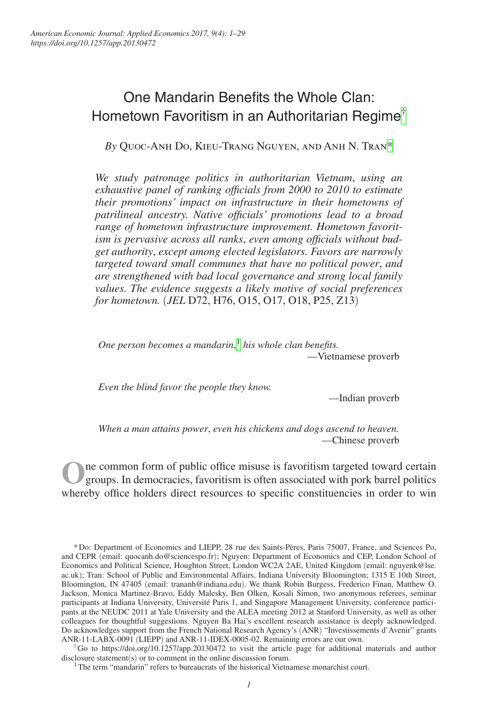# One Mandarin Benefits the Whole Clan: Hometown Favoritism in an Authoritarian Regime[†](#page-0-0)

*By* Quoc-Anh Do, Kieu-Trang Nguyen, and Anh N. Tra[n\\*](#page-0-1)

*We study patronage politics in authoritarian Vietnam*, *using an exhaustive panel of ranking officials from 2000 to 2010 to estimate their promotions' impact on infrastructure in their hometowns of patrilineal ancestry. Native officials' promotions lead to a broad range of hometown infrastructure improvement. Hometown favoritism is pervasive across all ranks*, *even among officials without budget authority*, *except among elected legislators. Favors are narrowly targeted toward small communes that have no political power*, *and are strengthened with bad local governance and strong local family values. The evidence suggests a likely motive of social preferences for hometown.* (*JEL* D72, H76, O15, O17, O18, P25, Z13)

*One person becomes a mandarin*, [1](#page-0-2)  *his whole clan benefits.* —Vietnamese proverb

*Even the blind favor the people they know.*

—Indian proverb

*When a man attains power*, *even his chickens and dogs ascend to heaven.* —Chinese proverb

**O**ne common form of public office misuse is favoritism targeted toward certain groups. In democracies, favoritism is often associated with pork barrel politics whereby office holders direct resources to specific constituencies in order to win

<span id="page-0-0"></span>†Go to https://doi.org/10.1257/app.20130472 to visit the article page for additional materials and author disclosure statement(s) or to comment in the online discussion forum.

<span id="page-0-2"></span><sup>1</sup>The term "mandarin" refers to bureaucrats of the historical Vietnamese monarchist court.

<span id="page-0-1"></span><sup>\*</sup>Do: Department of Economics and LIEPP, 28 rue des Saints-Pères, Paris 75007, France, and Sciences Po, and CEPR (email: quocanh.do@sciencespo.fr); Nguyen: Department of Economics and CEP, London School of Economics and Political Science, Houghton Street, London WC2A 2AE, United Kingdom (email: nguyenk@lse. ac.uk); Tran: School of Public and Environmental Affairs, Indiana University Bloomington; 1315 E 10th Street, Bloomington, IN 47405 (email: trananh@indiana.edu). We thank Robin Burgess, Frederico Finan, Matthew O. Jackson, Monica Martinez-Bravo, Eddy Malesky, Ben Olken, Kosali Simon, two anonymous referees, seminar participants at Indiana University, Université Paris 1, and Singapore Management University, conference participants at the NEUDC 2011 at Yale University and the ALEA meeting 2012 at Stanford University, as well as other colleagues for thoughtful suggestions. Nguyen Ba Hai's excellent research assistance is deeply acknowledged. Do acknowledges support from the French National Research Agency's (ANR) "Investissements d'Avenir" grants ANR-11-LABX-0091 (LIEPP) and ANR-11-IDEX-0005-02. Remaining errors are our own.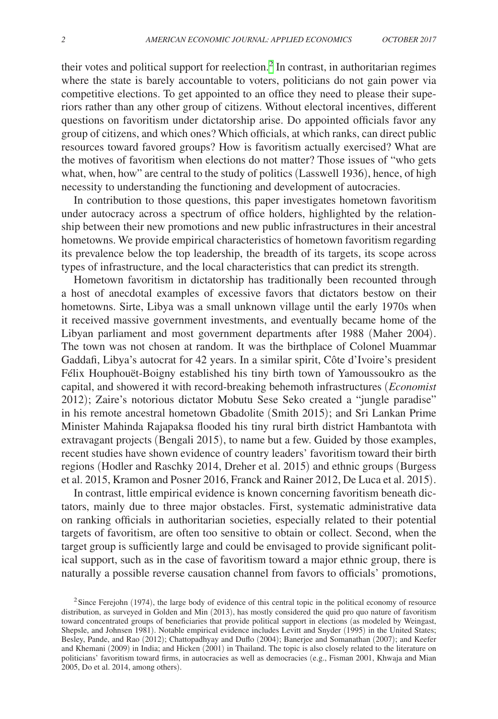their votes and political support for reelection.<sup>[2](#page-1-0)</sup> In contrast, in authoritarian regimes where the state is barely accountable to voters, politicians do not gain power via competitive elections. To get appointed to an office they need to please their superiors rather than any other group of citizens. Without electoral incentives, different questions on favoritism under dictatorship arise. Do appointed officials favor any group of citizens, and which ones? Which officials, at which ranks, can direct public resources toward favored groups? How is favoritism actually exercised? What are the motives of favoritism when elections do not matter? Those issues of "who gets what, when, how" are central to the study of politics (Lasswell 1936), hence, of high necessity to understanding the functioning and development of autocracies.

In contribution to those questions, this paper investigates hometown favoritism under autocracy across a spectrum of office holders, highlighted by the relationship between their new promotions and new public infrastructures in their ancestral hometowns. We provide empirical characteristics of hometown favoritism regarding its prevalence below the top leadership, the breadth of its targets, its scope across types of infrastructure, and the local characteristics that can predict its strength.

Hometown favoritism in dictatorship has traditionally been recounted through a host of anecdotal examples of excessive favors that dictators bestow on their hometowns. Sirte, Libya was a small unknown village until the early 1970s when it received massive government investments, and eventually became home of the Libyan parliament and most government departments after 1988 (Maher 2004). The town was not chosen at random. It was the birthplace of Colonel Muammar Gaddafi, Libya's autocrat for 42 years. In a similar spirit, Côte d'Ivoire's president Félix Houphouët-Boigny established his tiny birth town of Yamoussoukro as the capital, and showered it with record-breaking behemoth infrastructures (*Economist*  2012); Zaire's notorious dictator Mobutu Sese Seko created a "jungle paradise" in his remote ancestral hometown Gbadolite (Smith 2015); and Sri Lankan Prime Minister Mahinda Rajapaksa flooded his tiny rural birth district Hambantota with extravagant projects (Bengali 2015), to name but a few. Guided by those examples, recent studies have shown evidence of country leaders' favoritism toward their birth regions (Hodler and Raschky 2014, Dreher et al. 2015) and ethnic groups (Burgess et al. 2015, Kramon and Posner 2016, Franck and Rainer 2012, De Luca et al. 2015).

In contrast, little empirical evidence is known concerning favoritism beneath dictators, mainly due to three major obstacles. First, systematic administrative data on ranking officials in authoritarian societies, especially related to their potential targets of favoritism, are often too sensitive to obtain or collect. Second, when the target group is sufficiently large and could be envisaged to provide significant political support, such as in the case of favoritism toward a major ethnic group, there is naturally a possible reverse causation channel from favors to officials' promotions,

<span id="page-1-0"></span><sup>&</sup>lt;sup>2</sup>Since Ferejohn (1974), the large body of evidence of this central topic in the political economy of resource distribution, as surveyed in Golden and Min (2013), has mostly considered the quid pro quo nature of favoritism toward concentrated groups of beneficiaries that provide political support in elections (as modeled by Weingast, Shepsle, and Johnsen 1981). Notable empirical evidence includes Levitt and Snyder (1995) in the United States; Besley, Pande, and Rao (2012); Chattopadhyay and Duflo (2004); Banerjee and Somanathan (2007); and Keefer and Khemani (2009) in India; and Hicken (2001) in Thailand. The topic is also closely related to the literature on politicians' favoritism toward firms, in autocracies as well as democracies (e.g., Fisman 2001, Khwaja and Mian 2005, Do et al. 2014, among others).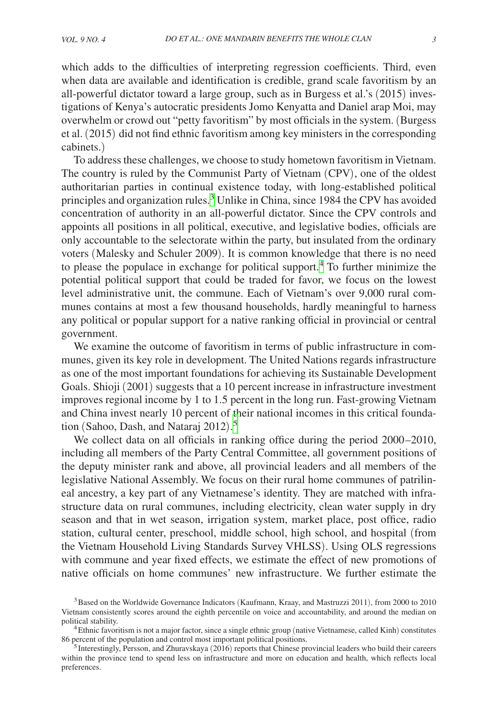which adds to the difficulties of interpreting regression coefficients. Third, even when data are available and identification is credible, grand scale favoritism by an all-powerful dictator toward a large group, such as in Burgess et al.'s (2015) investigations of Kenya's autocratic presidents Jomo Kenyatta and Daniel arap Moi, may overwhelm or crowd out "petty favoritism" by most officials in the system. (Burgess et al. (2015) did not find ethnic favoritism among key ministers in the corresponding cabinets.)

To address these challenges, we choose to study hometown favoritism in Vietnam. The country is ruled by the Communist Party of Vietnam (CPV), one of the oldest authoritarian parties in continual existence today, with long-established political principles and organization rules.<sup>3</sup> Unlike in China, since 1984 the CPV has avoided concentration of authority in an all-powerful dictator. Since the CPV controls and appoints all positions in all political, executive, and legislative bodies, officials are only accountable to the selectorate within the party, but insulated from the ordinary voters (Malesky and Schuler 2009). It is common knowledge that there is no need to please the populace in exchange for political support.<sup>[4](#page-2-1)</sup> To further minimize the potential political support that could be traded for favor, we focus on the lowest level administrative unit, the commune. Each of Vietnam's over 9,000 rural communes contains at most a few thousand households, hardly meaningful to harness any political or popular support for a native ranking official in provincial or central government.

We examine the outcome of favoritism in terms of public infrastructure in communes, given its key role in development. The United Nations regards infrastructure as one of the most important foundations for achieving its Sustainable Development Goals. Shioji (2001) suggests that a 10 percent increase in infrastructure investment improves regional income by 1 to 1.5 percent in the long run. Fast-growing Vietnam and China invest nearly 10 percent of their national incomes in this critical foundation (Sahoo, Dash, and Nataraj 2012). [5](#page-2-2)

We collect data on all officials in ranking office during the period  $2000-2010$ , including all members of the Party Central Committee, all government positions of the deputy minister rank and above, all provincial leaders and all members of the legislative National Assembly. We focus on their rural home communes of patrilineal ancestry, a key part of any Vietnamese's identity. They are matched with infrastructure data on rural communes, including electricity, clean water supply in dry season and that in wet season, irrigation system, market place, post office, radio station, cultural center, preschool, middle school, high school, and hospital (from the Vietnam Household Living Standards Survey VHLSS). Using OLS regressions with commune and year fixed effects, we estimate the effect of new promotions of native officials on home communes' new infrastructure. We further estimate the

<span id="page-2-0"></span><sup>&</sup>lt;sup>3</sup>Based on the Worldwide Governance Indicators (Kaufmann, Kraay, and Mastruzzi 2011), from 2000 to 2010 Vietnam consistently scores around the eighth percentile on voice and accountability, and around the median on

<span id="page-2-1"></span>political stability.<br><sup>4</sup>Ethnic favoritism is not a major factor, since a single ethnic group (native Vietnamese, called Kinh) constitutes<br>86 percent of the population and control most important political positions.

<span id="page-2-2"></span><sup>&</sup>lt;sup>5</sup> Interestingly, Persson, and Zhuravskaya (2016) reports that Chinese provincial leaders who build their careers within the province tend to spend less on infrastructure and more on education and health, which reflects local preferences.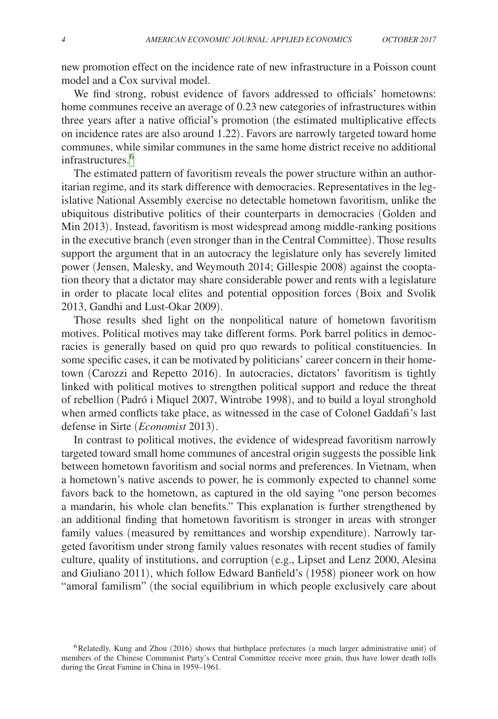new promotion effect on the incidence rate of new infrastructure in a Poisson count model and a Cox survival model.

We find strong, robust evidence of favors addressed to officials' hometowns: home communes receive an average of 0.23 new categories of infrastructures within three years after a native official's promotion (the estimated multiplicative effects on incidence rates are also around 1.22). Favors are narrowly targeted toward home communes, while similar communes in the same home district receive no additional infrastructures<sup>6</sup>

The estimated pattern of favoritism reveals the power structure within an authoritarian regime, and its stark difference with democracies. Representatives in the legislative National Assembly exercise no detectable hometown favoritism, unlike the ubiquitous distributive politics of their counterparts in democracies (Golden and Min 2013). Instead, favoritism is most widespread among middle-ranking positions in the executive branch (even stronger than in the Central Committee). Those results support the argument that in an autocracy the legislature only has severely limited power (Jensen, Malesky, and Weymouth 2014; Gillespie 2008) against the cooptation theory that a dictator may share considerable power and rents with a legislature in order to placate local elites and potential opposition forces (Boix and Svolik 2013, Gandhi and Lust-Okar 2009).

Those results shed light on the nonpolitical nature of hometown favoritism motives. Political motives may take different forms. Pork barrel politics in democracies is generally based on quid pro quo rewards to political constituencies. In some specific cases, it can be motivated by politicians' career concern in their hometown (Carozzi and Repetto 2016). In autocracies, dictators' favoritism is tightly linked with political motives to strengthen political support and reduce the threat of rebellion (Padró i Miquel 2007, Wintrobe 1998), and to build a loyal stronghold when armed conflicts take place, as witnessed in the case of Colonel Gaddafi's last defense in Sirte (*Economist* 2013).

In contrast to political motives, the evidence of widespread favoritism narrowly targeted toward small home communes of ancestral origin suggests the possible link between hometown favoritism and social norms and preferences. In Vietnam, when a hometown's native ascends to power, he is commonly expected to channel some favors back to the hometown, as captured in the old saying "one person becomes a mandarin, his whole clan benefits." This explanation is further strengthened by an additional finding that hometown favoritism is stronger in areas with stronger family values (measured by remittances and worship expenditure). Narrowly targeted favoritism under strong family values resonates with recent studies of family culture, quality of institutions, and corruption (e.g., Lipset and Lenz 2000, Alesina and Giuliano 2011), which follow Edward Banfield's (1958) pioneer work on how "amoral familism" (the social equilibrium in which people exclusively care about

<span id="page-3-0"></span><sup>&</sup>lt;sup>6</sup>Relatedly, Kung and Zhou (2016) shows that birthplace prefectures (a much larger administrative unit) of members of the Chinese Communist Party's Central Committee receive more grain, thus have lower death tolls during the Great Famine in China in 1959–1961.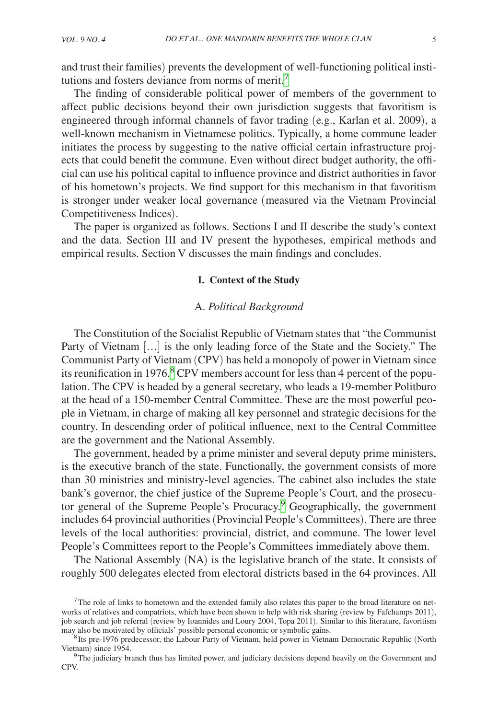and trust their families) prevents the development of well-functioning political institutions and fosters deviance from norms of merit.<sup>7</sup>

The finding of considerable political power of members of the government to affect public decisions beyond their own jurisdiction suggests that favoritism is engineered through informal channels of favor trading (e.g., Karlan et al. 2009), a well-known mechanism in Vietnamese politics. Typically, a home commune leader initiates the process by suggesting to the native official certain infrastructure projects that could benefit the commune. Even without direct budget authority, the official can use his political capital to influence province and district authorities in favor of his hometown's projects. We find support for this mechanism in that favoritism is stronger under weaker local governance (measured via the Vietnam Provincial Competitiveness Indices).

The paper is organized as follows. Sections I and II describe the study's context and the data. Section III and IV present the hypotheses, empirical methods and empirical results. Section V discusses the main findings and concludes.

# **I. Context of the Study**

#### A. *Political Background*

The Constitution of the Socialist Republic of Vietnam states that "the Communist Party of Vietnam [...] is the only leading force of the State and the Society." The Communist Party of Vietnam (CPV) has held a monopoly of power in Vietnam since its reunification in 1976.<sup>[8](#page-4-1)</sup> CPV members account for less than 4 percent of the population. The CPV is headed by a general secretary, who leads a 19-member Politburo at the head of a 150-member Central Committee. These are the most powerful people in Vietnam, in charge of making all key personnel and strategic decisions for the country. In descending order of political influence, next to the Central Committee are the government and the National Assembly.

The government, headed by a prime minister and several deputy prime ministers, is the executive branch of the state. Functionally, the government consists of more than 30 ministries and ministry-level agencies. The cabinet also includes the state bank's governor, the chief justice of the Supreme People's Court, and the prosecu-tor general of the Supreme People's Procuracy.<sup>[9](#page-4-2)</sup> Geographically, the government includes 64 provincial authorities (Provincial People's Committees). There are three levels of the local authorities: provincial, district, and commune. The lower level People's Committees report to the People's Committees immediately above them.

The National Assembly (NA) is the legislative branch of the state. It consists of roughly 500 delegates elected from electoral districts based in the 64 provinces. All

<span id="page-4-0"></span> $7$ The role of links to hometown and the extended family also relates this paper to the broad literature on networks of relatives and compatriots, which have been shown to help with risk sharing (review by Fafchamps 2011), job search and job referral (review by Ioannides and Loury 2004, Topa 2011). Similar to this literature, favoritism may also be motivated by officials' possible personal economic or symbolic gains.

<span id="page-4-1"></span><sup>&</sup>lt;sup>8</sup> Its pre-1976 predecessor, the Labour Party of Vietnam, held power in Vietnam Democratic Republic (North Vietnam) since 1954.

<span id="page-4-2"></span> $<sup>9</sup>$ The judiciary branch thus has limited power, and judiciary decisions depend heavily on the Government and</sup> CPV.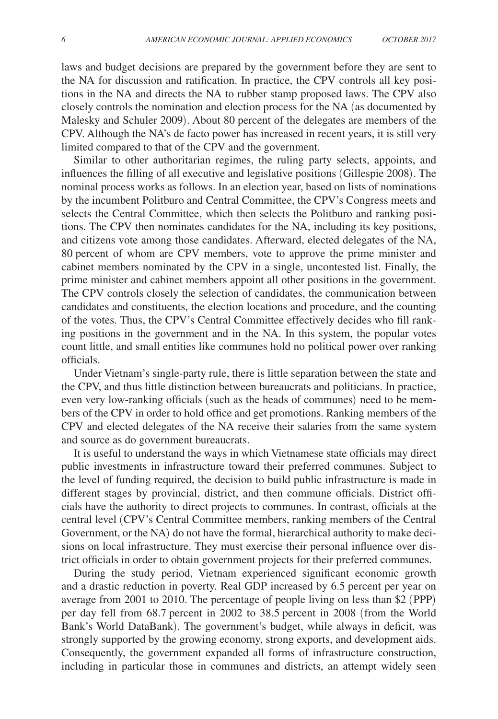laws and budget decisions are prepared by the government before they are sent to the NA for discussion and ratification. In practice, the CPV controls all key positions in the NA and directs the NA to rubber stamp proposed laws. The CPV also closely controls the nomination and election process for the NA (as documented by Malesky and Schuler 2009). About 80 percent of the delegates are members of the CPV. Although the NA's de facto power has increased in recent years, it is still very limited compared to that of the CPV and the government.

Similar to other authoritarian regimes, the ruling party selects, appoints, and influences the filling of all executive and legislative positions (Gillespie 2008). The nominal process works as follows. In an election year, based on lists of nominations by the incumbent Politburo and Central Committee, the CPV's Congress meets and selects the Central Committee, which then selects the Politburo and ranking positions. The CPV then nominates candidates for the NA, including its key positions, and citizens vote among those candidates. Afterward, elected delegates of the NA, 80 percent of whom are CPV members, vote to approve the prime minister and cabinet members nominated by the CPV in a single, uncontested list. Finally, the prime minister and cabinet members appoint all other positions in the government. The CPV controls closely the selection of candidates, the communication between candidates and constituents, the election locations and procedure, and the counting of the votes. Thus, the CPV's Central Committee effectively decides who fill ranking positions in the government and in the NA. In this system, the popular votes count little, and small entities like communes hold no political power over ranking officials.

Under Vietnam's single-party rule, there is little separation between the state and the CPV, and thus little distinction between bureaucrats and politicians. In practice, even very low-ranking officials (such as the heads of communes) need to be members of the CPV in order to hold office and get promotions. Ranking members of the CPV and elected delegates of the NA receive their salaries from the same system and source as do government bureaucrats.

It is useful to understand the ways in which Vietnamese state officials may direct public investments in infrastructure toward their preferred communes. Subject to the level of funding required, the decision to build public infrastructure is made in different stages by provincial, district, and then commune officials. District officials have the authority to direct projects to communes. In contrast, officials at the central level (CPV's Central Committee members, ranking members of the Central Government, or the NA) do not have the formal, hierarchical authority to make decisions on local infrastructure. They must exercise their personal influence over district officials in order to obtain government projects for their preferred communes.

During the study period, Vietnam experienced significant economic growth and a drastic reduction in poverty. Real GDP increased by 6.5 percent per year on average from 2001 to 2010. The percentage of people living on less than \$2 (PPP) per day fell from 68.7 percent in 2002 to 38.5 percent in 2008 (from the World Bank's World DataBank). The government's budget, while always in deficit, was strongly supported by the growing economy, strong exports, and development aids. Consequently, the government expanded all forms of infrastructure construction, including in particular those in communes and districts, an attempt widely seen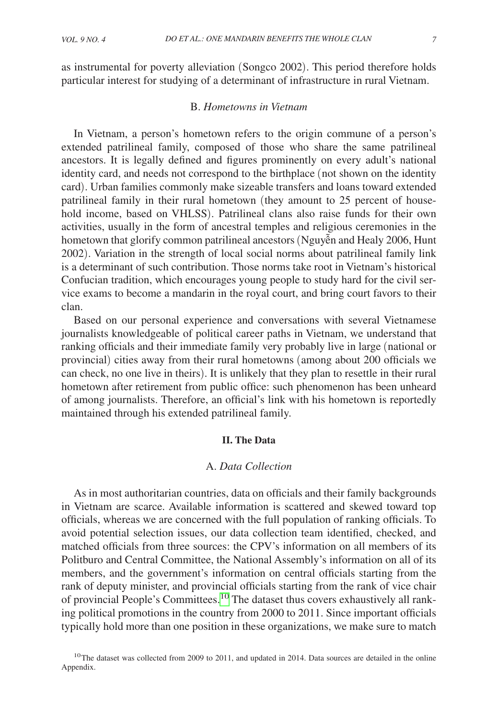as instrumental for poverty alleviation (Songco 2002). This period therefore holds particular interest for studying of a determinant of infrastructure in rural Vietnam.

# B. *Hometowns in Vietnam*

In Vietnam, a person's hometown refers to the origin commune of a person's extended patrilineal family, composed of those who share the same patrilineal ancestors. It is legally defined and figures prominently on every adult's national identity card, and needs not correspond to the birthplace (not shown on the identity card). Urban families commonly make sizeable transfers and loans toward extended patrilineal family in their rural hometown (they amount to 25 percent of household income, based on VHLSS). Patrilineal clans also raise funds for their own activities, usually in the form of ancestral temples and religious ceremonies in the hometown that glorify common patrilineal ancestors (Nguyễn and Healy 2006, Hunt 2002). Variation in the strength of local social norms about patrilineal family link is a determinant of such contribution. Those norms take root in Vietnam's historical Confucian tradition, which encourages young people to study hard for the civil service exams to become a mandarin in the royal court, and bring court favors to their clan.

Based on our personal experience and conversations with several Vietnamese journalists knowledgeable of political career paths in Vietnam, we understand that ranking officials and their immediate family very probably live in large (national or provincial) cities away from their rural hometowns (among about 200 officials we can check, no one live in theirs). It is unlikely that they plan to resettle in their rural hometown after retirement from public office: such phenomenon has been unheard of among journalists. Therefore, an official's link with his hometown is reportedly maintained through his extended patrilineal family.

# **II. The Data**

# A. *Data Collection*

As in most authoritarian countries, data on officials and their family backgrounds in Vietnam are scarce. Available information is scattered and skewed toward top officials, whereas we are concerned with the full population of ranking officials. To avoid potential selection issues, our data collection team identified, checked, and matched officials from three sources: the CPV's information on all members of its Politburo and Central Committee, the National Assembly's information on all of its members, and the government's information on central officials starting from the rank of deputy minister, and provincial officials starting from the rank of vice chair of provincial People's Committees.[10](#page-6-0) The dataset thus covers exhaustively all ranking political promotions in the country from 2000 to 2011. Since important officials typically hold more than one position in these organizations, we make sure to match

<span id="page-6-0"></span><sup>&</sup>lt;sup>10</sup>The dataset was collected from 2009 to 2011, and updated in 2014. Data sources are detailed in the online Appendix.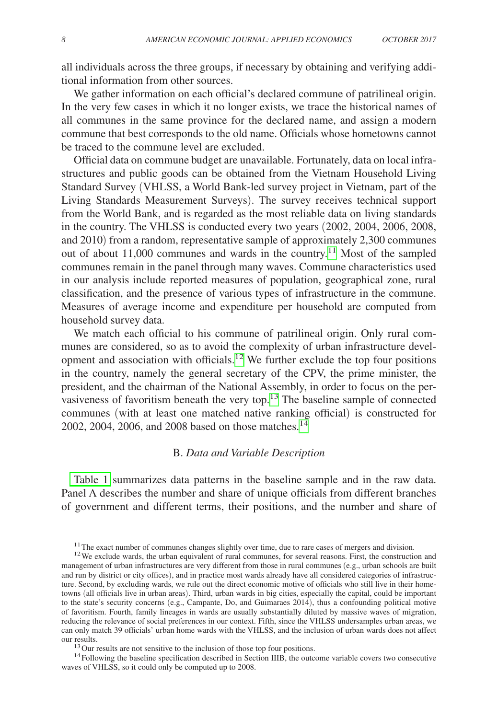all individuals across the three groups, if necessary by obtaining and verifying additional information from other sources.

We gather information on each official's declared commune of patrilineal origin. In the very few cases in which it no longer exists, we trace the historical names of all communes in the same province for the declared name, and assign a modern commune that best corresponds to the old name. Officials whose hometowns cannot be traced to the commune level are excluded.

Official data on commune budget are unavailable. Fortunately, data on local infrastructures and public goods can be obtained from the Vietnam Household Living Standard Survey (VHLSS, a World Bank-led survey project in Vietnam, part of the Living Standards Measurement Surveys). The survey receives technical support from the World Bank, and is regarded as the most reliable data on living standards in the country. The VHLSS is conducted every two years (2002, 2004, 2006, 2008, and 2010) from a random, representative sample of approximately 2,300 communes out of about  $11,000$  communes and wards in the country.<sup>11</sup> Most of the sampled communes remain in the panel through many waves. Commune characteristics used in our analysis include reported measures of population, geographical zone, rural classification, and the presence of various types of infrastructure in the commune. Measures of average income and expenditure per household are computed from household survey data.

We match each official to his commune of patrilineal origin. Only rural communes are considered, so as to avoid the complexity of urban infrastructure development and association with officials.<sup>12</sup> We further exclude the top four positions in the country, namely the general secretary of the CPV, the prime minister, the president, and the chairman of the National Assembly, in order to focus on the pervasiveness of favoritism beneath the very top. $13$  The baseline sample of connected communes (with at least one matched native ranking official) is constructed for 2002, 2004, 2006, and 2008 based on those matches[.14](#page-7-3)

#### B. *Data and Variable Description*

[Table 1](#page-8-0) summarizes data patterns in the baseline sample and in the raw data. Panel A describes the number and share of unique officials from different branches of government and different terms, their positions, and the number and share of

<span id="page-7-3"></span><span id="page-7-2"></span>

waves of VHLSS, so it could only be computed up to 2008.

<span id="page-7-1"></span><span id="page-7-0"></span><sup>&</sup>lt;sup>11</sup> The exact number of communes changes slightly over time, due to rare cases of mergers and division. <sup>12</sup>We exclude wards, the urban equivalent of rural communes, for several reasons. First, the construction and

management of urban infrastructures are very different from those in rural communes (e.g., urban schools are built and run by district or city offices), and in practice most wards already have all considered categories of infrastructure. Second, by excluding wards, we rule out the direct economic motive of officials who still live in their hometowns (all officials live in urban areas). Third, urban wards in big cities, especially the capital, could be important to the state's security concerns (e.g., Campante, Do, and Guimaraes 2014), thus a confounding political motive of favoritism. Fourth, family lineages in wards are usually substantially diluted by massive waves of migration, reducing the relevance of social preferences in our context. Fifth, since the VHLSS undersamples urban areas, we can only match 39 officials' urban home wards with the VHLSS, and the inclusion of urban wards does not affect our results.<br><sup>13</sup>Our results are not sensitive to the inclusion of those top four positions.<br><sup>14</sup>Following the baseline specification described in Section IIIB, the outcome variable covers two consecutive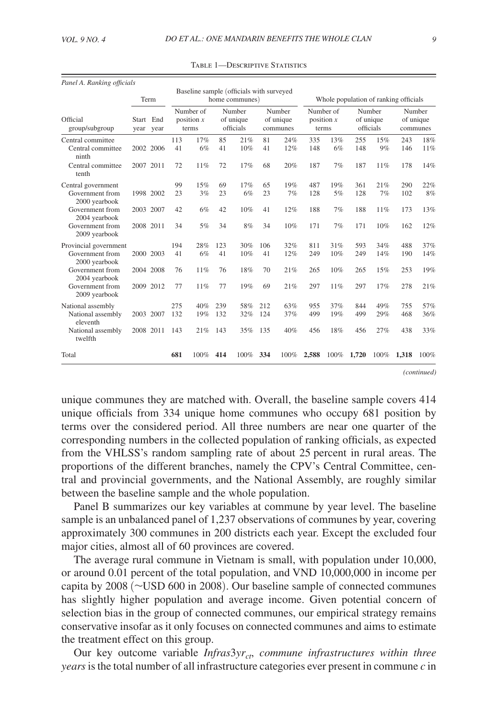<span id="page-8-0"></span>

| Panel A. Ranking officials                      |      |                   |                                                            |                                    |          |                                  |          |                                 |                                       |                                    |            |                                  |            |                                 |  |
|-------------------------------------------------|------|-------------------|------------------------------------------------------------|------------------------------------|----------|----------------------------------|----------|---------------------------------|---------------------------------------|------------------------------------|------------|----------------------------------|------------|---------------------------------|--|
|                                                 |      | Term              | Baseline sample (officials with surveyed<br>home communes) |                                    |          |                                  |          |                                 | Whole population of ranking officials |                                    |            |                                  |            |                                 |  |
| Official<br>group/subgroup                      | year | Start End<br>year |                                                            | Number of<br>position $x$<br>terms |          | Number<br>of unique<br>officials |          | Number<br>of unique<br>communes |                                       | Number of<br>position $x$<br>terms |            | Number<br>of unique<br>officials |            | Number<br>of unique<br>communes |  |
| Central committee<br>Central committee<br>ninth |      | 2002 2006         | 113<br>41                                                  | 17%<br>6%                          | 85<br>41 | 21%<br>10%                       | 81<br>41 | 24%<br>12%                      | 335<br>148                            | 13%<br>6%                          | 255<br>148 | 15%<br>9%                        | 243<br>146 | 18%<br>11%                      |  |
| Central committee<br>tenth                      |      | 2007 2011         | 72                                                         | 11%                                | 72       | 17%                              | 68       | 20%                             | 187                                   | 7%                                 | 187        | 11%                              | 178        | 14%                             |  |
| Central government                              |      |                   | 99                                                         | 15%                                | 69       | 17%                              | 65       | 19%                             | 487                                   | 19%                                | 361        | 21%                              | 290        | 22%                             |  |
| Government from<br>2000 yearbook                |      | 1998 2002         | 23                                                         | 3%                                 | 23       | 6%                               | 23       | 7%                              | 128                                   | 5%                                 | 128        | 7%                               | 102        | 8%                              |  |
| Government from<br>2004 yearbook                |      | 2003 2007         | 42                                                         | 6%                                 | 42       | 10%                              | 41       | 12%                             | 188                                   | 7%                                 | 188        | 11%                              | 173        | 13%                             |  |
| Government from<br>2009 yearbook                |      | 2008 2011         | 34                                                         | 5%                                 | 34       | 8%                               | 34       | 10%                             | 171                                   | 7%                                 | 171        | 10%                              | 162        | 12%                             |  |
| Provincial government                           |      |                   | 194                                                        | 28%                                | 123      | 30%                              | 106      | 32%                             | 811                                   | 31%                                | 593        | 34%                              | 488        | 37%                             |  |
| Government from<br>2000 yearbook                |      | 2000 2003         | 41                                                         | 6%                                 | 41       | 10%                              | 41       | 12%                             | 249                                   | 10%                                | 249        | 14%                              | 190        | 14%                             |  |
| Government from<br>2004 yearbook                |      | 2004 2008         | 76                                                         | 11%                                | 76       | 18%                              | 70       | 21%                             | 265                                   | 10%                                | 265        | 15%                              | 253        | 19%                             |  |
| Government from<br>2009 yearbook                |      | 2009 2012         | 77                                                         | 11%                                | 77       | 19%                              | 69       | 21%                             | 297                                   | 11%                                | 297        | 17%                              | 278        | 21%                             |  |
| National assembly                               |      |                   | 275                                                        | 40%                                | 239      | 58%                              | 212      | 63%                             | 955                                   | 37%                                | 844        | 49%                              | 755        | 57%                             |  |
| National assembly<br>eleventh                   |      | 2003 2007         | 132                                                        | 19%                                | 132      | 32%                              | 124      | 37%                             | 499                                   | 19%                                | 499        | 29%                              | 468        | 36%                             |  |
| National assembly<br>twelfth                    |      | 2008 2011         | 143                                                        | 21%                                | 143      | 35%                              | 135      | 40%                             | 456                                   | 18%                                | 456        | 27%                              | 438        | 33%                             |  |
| Total                                           |      |                   | 681                                                        | 100%                               | 414      | 100%                             | 334      | $100\%$                         | 2,588                                 | 100%                               | 1,720      | 100%                             | 1.318      | 100%                            |  |

|  |  | <b>TABLE 1-DESCRIPTIVE STATISTICS</b> |  |
|--|--|---------------------------------------|--|
|--|--|---------------------------------------|--|

*(continued)*

unique communes they are matched with. Overall, the baseline sample covers 414 unique officials from 334 unique home communes who occupy 681 position by terms over the considered period. All three numbers are near one quarter of the corresponding numbers in the collected population of ranking officials, as expected from the VHLSS's random sampling rate of about 25 percent in rural areas. The proportions of the different branches, namely the CPV's Central Committee, central and provincial governments, and the National Assembly, are roughly similar between the baseline sample and the whole population.

Panel B summarizes our key variables at commune by year level. The baseline sample is an unbalanced panel of 1,237 observations of communes by year, covering approximately 300 communes in 200 districts each year. Except the excluded four major cities, almost all of 60 provinces are covered.

The average rural commune in Vietnam is small, with population under 10,000, or around 0.01 percent of the total population, and VND 10,000,000 in income per capita by 2008 (~USD 600 in 2008). Our baseline sample of connected communes has slightly higher population and average income. Given potential concern of selection bias in the group of connected communes, our empirical strategy remains conservative insofar as it only focuses on connected communes and aims to estimate the treatment effect on this group.

Our key outcome variable *Infras3yr<sub>ct</sub>*, *commune infrastructures within three years* is the total number of all infrastructure categories ever present in commune *c* in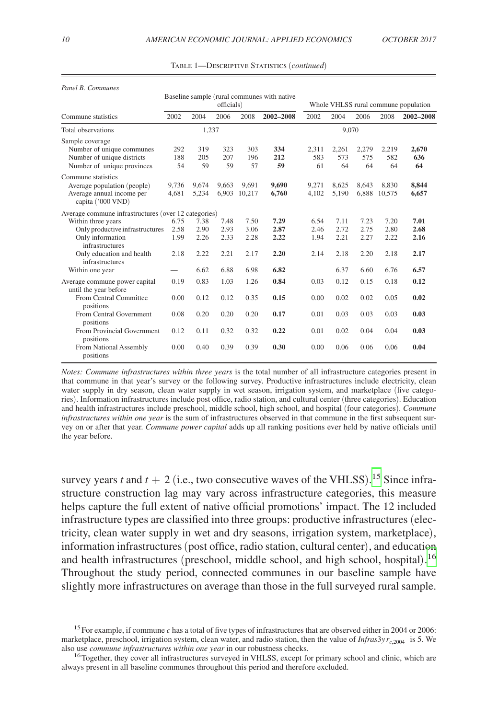|                                                        | Baseline sample (rural communes with native<br>officials) |       |       |        |           |       | Whole VHLSS rural commune population |       |        |           |  |
|--------------------------------------------------------|-----------------------------------------------------------|-------|-------|--------|-----------|-------|--------------------------------------|-------|--------|-----------|--|
| Commune statistics                                     | 2002                                                      | 2004  | 2006  | 2008   | 2002-2008 | 2002  | 2004                                 | 2006  | 2008   | 2002-2008 |  |
| Total observations                                     |                                                           | 1,237 |       |        |           |       | 9.070                                |       |        |           |  |
| Sample coverage                                        |                                                           |       |       |        |           |       |                                      |       |        |           |  |
| Number of unique communes                              | 292                                                       | 319   | 323   | 303    | 334       | 2.311 | 2,261                                | 2,279 | 2,219  | 2,670     |  |
| Number of unique districts                             | 188                                                       | 205   | 207   | 196    | 212       | 583   | 573                                  | 575   | 582    | 636       |  |
| Number of unique provinces                             | 54                                                        | 59    | 59    | 57     | 59        | 61    | 64                                   | 64    | 64     | 64        |  |
| Commune statistics                                     |                                                           |       |       |        |           |       |                                      |       |        |           |  |
| Average population (people)                            | 9,736                                                     | 9.674 | 9.663 | 9.691  | 9,690     | 9.271 | 8.625                                | 8,643 | 8.830  | 8,844     |  |
| Average annual income per<br>capita ('000 VND)         | 4,681                                                     | 5.234 | 6,903 | 10.217 | 6,760     | 4.102 | 5.190                                | 6,888 | 10.575 | 6,657     |  |
| Average commune infrastructures (over 12 categories)   |                                                           |       |       |        |           |       |                                      |       |        |           |  |
| Within three years                                     | 6.75                                                      | 7.38  | 7.48  | 7.50   | 7.29      | 6.54  | 7.11                                 | 7.23  | 7.20   | 7.01      |  |
| Only productive infrastructures                        | 2.58                                                      | 2.90  | 2.93  | 3.06   | 2.87      | 2.46  | 2.72                                 | 2.75  | 2.80   | 2.68      |  |
| Only information<br>infrastructures                    | 1.99                                                      | 2.26  | 2.33  | 2.28   | 2.22      | 1.94  | 2.21                                 | 2.27  | 2.22   | 2.16      |  |
| Only education and health<br>infrastructures           | 2.18                                                      | 2.22  | 2.21  | 2.17   | 2.20      | 2.14  | 2.18                                 | 2.20  | 2.18   | 2.17      |  |
| Within one year                                        |                                                           | 6.62  | 6.88  | 6.98   | 6.82      |       | 6.37                                 | 6.60  | 6.76   | 6.57      |  |
| Average commune power capital<br>until the year before | 0.19                                                      | 0.83  | 1.03  | 1.26   | 0.84      | 0.03  | 0.12                                 | 0.15  | 0.18   | 0.12      |  |
| From Central Committee<br>positions                    | 0.00                                                      | 0.12  | 0.12  | 0.35   | 0.15      | 0.00  | 0.02                                 | 0.02  | 0.05   | 0.02      |  |
| From Central Government<br>positions                   | 0.08                                                      | 0.20  | 0.20  | 0.20   | 0.17      | 0.01  | 0.03                                 | 0.03  | 0.03   | 0.03      |  |
| From Provincial Government<br>positions                | 0.12                                                      | 0.11  | 0.32  | 0.32   | 0.22      | 0.01  | 0.02                                 | 0.04  | 0.04   | 0.03      |  |
| From National Assembly<br>positions                    | 0.00                                                      | 0.40  | 0.39  | 0.39   | 0.30      | 0.00  | 0.06                                 | 0.06  | 0.06   | 0.04      |  |

| TABLE 1-DESCRIPTIVE STATISTICS (continued) |  |
|--------------------------------------------|--|
|--------------------------------------------|--|

*Notes: Commune infrastructures within three years* is the total number of all infrastructure categories present in that commune in that year's survey or the following survey. Productive infrastructures include electricity, clean water supply in dry season, clean water supply in wet season, irrigation system, and marketplace (five categories). Information infrastructures include post office, radio station, and cultural center (three categories). Education and health infrastructures include preschool, middle school, high school, and hospital (four categories). *Commune infrastructures within one year* is the sum of infrastructures observed in that commune in the first subsequent survey on or after that year. *Commune power capital* adds up all ranking positions ever held by native officials until the year before.

survey years  $t$  and  $t + 2$  (i.e., two consecutive waves of the VHLSS).<sup>15</sup> Since infrastructure construction lag may vary across infrastructure categories, this measure helps capture the full extent of native official promotions' impact. The 12 included infrastructure types are classified into three groups: productive infrastructures (electricity, clean water supply in wet and dry seasons, irrigation system, marketplace), information infrastructures (post office, radio station, cultural center), and education and health infrastructures (preschool, middle school, and high school, hospital).<sup>[16](#page-9-1)</sup> Throughout the study period, connected communes in our baseline sample have slightly more infrastructures on average than those in the full surveyed rural sample.

*Panel B. Communes*

<span id="page-9-0"></span><sup>&</sup>lt;sup>15</sup> For example, if commune *c* has a total of five types of infrastructures that are observed either in 2004 or 2006: marketplace, preschool, irrigation system, clean water, and radio station, then the value of *Infras3y*  $r_{c,2004}$  is 5. We also use *commune infrastructures within one year* in our robustness checks.

<span id="page-9-1"></span><sup>&</sup>lt;sup>16</sup> Together, they cover all infrastructures surveyed in VHLSS, except for primary school and clinic, which are always present in all baseline communes throughout this period and therefore excluded.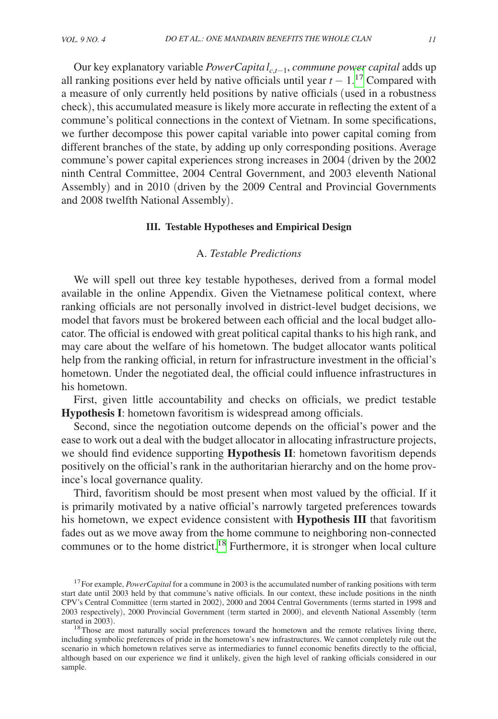Our key explanatory variable *PowerCapita lc*,*t*−1, *commune power capital* adds up all ranking positions ever held by native officials until year  $t - 1$ .<sup>[17](#page-10-0)</sup> Compared with a measure of only currently held positions by native officials (used in a robustness check), this accumulated measure is likely more accurate in reflecting the extent of a commune's political connections in the context of Vietnam. In some specifications, we further decompose this power capital variable into power capital coming from different branches of the state, by adding up only corresponding positions. Average commune's power capital experiences strong increases in 2004 (driven by the 2002 ninth Central Committee, 2004 Central Government, and 2003 eleventh National Assembly) and in 2010 (driven by the 2009 Central and Provincial Governments and 2008 twelfth National Assembly).

#### **III. Testable Hypotheses and Empirical Design**

# A. *Testable Predictions*

We will spell out three key testable hypotheses, derived from a formal model available in the online Appendix. Given the Vietnamese political context, where ranking officials are not personally involved in district-level budget decisions, we model that favors must be brokered between each official and the local budget allocator. The official is endowed with great political capital thanks to his high rank, and may care about the welfare of his hometown. The budget allocator wants political help from the ranking official, in return for infrastructure investment in the official's hometown. Under the negotiated deal, the official could influence infrastructures in his hometown.

First, given little accountability and checks on officials, we predict testable **Hypothesis I**: hometown favoritism is widespread among officials.

Second, since the negotiation outcome depends on the official's power and the ease to work out a deal with the budget allocator in allocating infrastructure projects, we should find evidence supporting **Hypothesis II**: hometown favoritism depends positively on the official's rank in the authoritarian hierarchy and on the home province's local governance quality.

Third, favoritism should be most present when most valued by the official. If it is primarily motivated by a native official's narrowly targeted preferences towards his hometown, we expect evidence consistent with **Hypothesis III** that favoritism fades out as we move away from the home commune to neighboring non-connected communes or to the home district.<sup>18</sup> Furthermore, it is stronger when local culture

<span id="page-10-0"></span><sup>&</sup>lt;sup>17</sup>For example, *PowerCapital* for a commune in 2003 is the accumulated number of ranking positions with term start date until 2003 held by that commune's native officials. In our context, these include positions in the ninth CPV's Central Committee (term started in 2002), 2000 and 2004 Central Governments (terms started in 1998 and 2003 respectively), 2000 Provincial Government (term started in 2000), and eleventh National Assembly (term

<span id="page-10-1"></span><sup>&</sup>lt;sup>18</sup>Those are most naturally social preferences toward the hometown and the remote relatives living there, including symbolic preferences of pride in the hometown's new infrastructures. We cannot completely rule out the scenario in which hometown relatives serve as intermediaries to funnel economic benefits directly to the official, although based on our experience we find it unlikely, given the high level of ranking officials considered in our sample.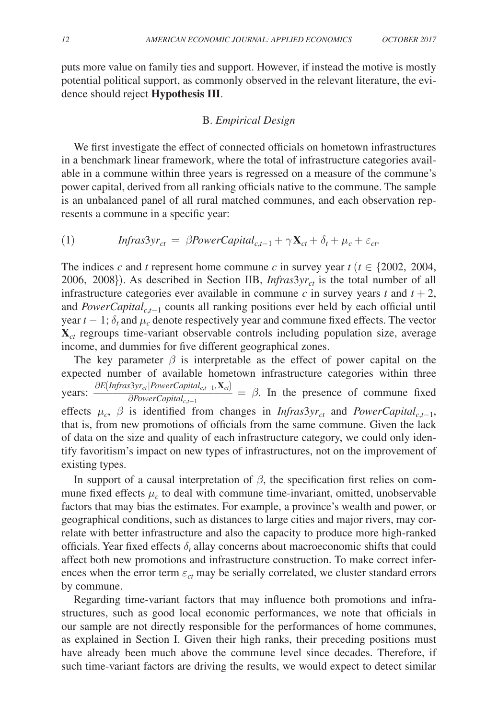puts more value on family ties and support. However, if instead the motive is mostly potential political support, as commonly observed in the relevant literature, the evidence should reject **Hypothesis III**.

# B. *Empirical Design*

We first investigate the effect of connected officials on hometown infrastructures in a benchmark linear framework, where the total of infrastructure categories available in a commune within three years is regressed on a measure of the commune's power capital, derived from all ranking officials native to the commune. The sample is an unbalanced panel of all rural matched communes, and each observation represents a commune in a specific year:

(1) *Infras3yr<sub>ct</sub>* = 
$$
\beta
$$
*PowerCapital<sub>c,t-1</sub>* +  $\gamma$ **X**<sub>ct</sub> +  $\delta$ <sub>t</sub> +  $\mu$ <sub>c</sub> +  $\varepsilon$ <sub>ct</sub>.

The indices *c* and *t* represent home commune *c* in survey year  $t$  ( $t \in \{2002, 2004,$ 2006, 2008}). As described in Section IIB, *Infras3yr<sub>ct</sub>* is the total number of all infrastructure categories ever available in commune  $c$  in survey years  $t$  and  $t + 2$ , and *PowerCapital<sub>c</sub>*,<sub>t−1</sub> counts all ranking positions ever held by each official until year  $t - 1$ ;  $\delta_t$  and  $\mu_c$  denote respectively year and commune fixed effects. The vector  $\mathbf{X}_{ct}$  regroups time-variant observable controls including population size, average income, and dummies for five different geographical zones.

The key parameter  $\beta$  is interpretable as the effect of power capital on the expected number of available hometown infrastructure categories within three years: -*∂E*(*Infras3yr<sub>ct</sub>* |*PowerCapital<sub>c,t−1</sub>,* **X**<sub>*ct*</sub>)  $\frac{\partial P_{\text{}}{\partial}P_{\text{}}{\partial}P_{\text{}}{\partial}P_{\text{}}{\partial}P_{\text{}}{\partial}P_{\text{}}{\partial}P_{\text{}}{\partial}P_{\text{}}{\partial}P_{\text{}}{\partial}P_{\text{}}{\partial}P_{\text{}}{\partial}P_{\text{}}{\partial}P_{\text{}}{\partial}P_{\text{}}{\partial}P_{\text{}}{\partial}P_{\text{}}{\partial}P_{\text{}}{\partial}P_{\text{}}{\$  $= \beta$ . In the presence of commune fixed effects  $\mu_c$ ,  $\beta$  is identified from changes in *Infras3yr<sub>ct</sub>* and *PowerCapital<sub>c,t−1</sub>*, that is, from new promotions of officials from the same commune. Given the lack of data on the size and quality of each infrastructure category, we could only identify favoritism's impact on new types of infrastructures, not on the improvement of existing types.

In support of a causal interpretation of  $\beta$ , the specification first relies on commune fixed effects  $\mu_c$  to deal with commune time-invariant, omitted, unobservable factors that may bias the estimates. For example, a province's wealth and power, or geographical conditions, such as distances to large cities and major rivers, may correlate with better infrastructure and also the capacity to produce more high-ranked officials. Year fixed effects  $\delta_t$  allay concerns about macroeconomic shifts that could affect both new promotions and infrastructure construction. To make correct inferences when the error term  $\varepsilon_{ct}$  may be serially correlated, we cluster standard errors by commune.

Regarding time-variant factors that may influence both promotions and infrastructures, such as good local economic performances, we note that officials in our sample are not directly responsible for the performances of home communes, as explained in Section I. Given their high ranks, their preceding positions must have already been much above the commune level since decades. Therefore, if such time-variant factors are driving the results, we would expect to detect similar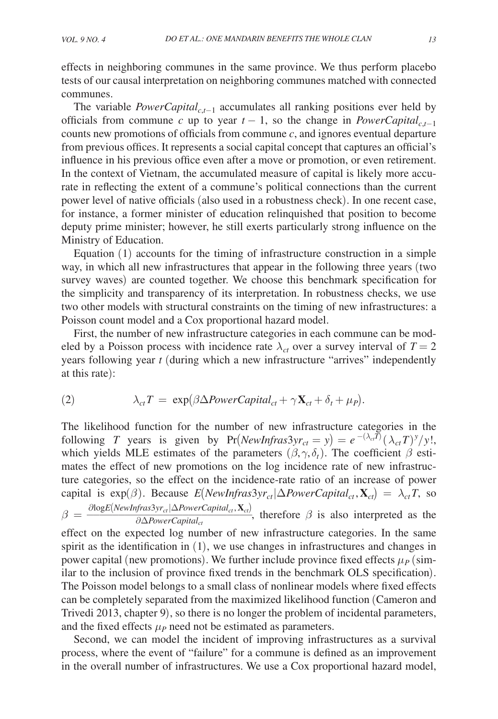effects in neighboring communes in the same province. We thus perform placebo tests of our causal interpretation on neighboring communes matched with connected communes.

The variable *PowerCapital<sub>c,t−1</sub>* accumulates all ranking positions ever held by officials from commune *c* up to year  $t - 1$ , so the change in *PowerCapital<sub>ct-1</sub>* counts new promotions of officials from commune *c*, and ignores eventual departure from previous offices. It represents a social capital concept that captures an official's influence in his previous office even after a move or promotion, or even retirement. In the context of Vietnam, the accumulated measure of capital is likely more accurate in reflecting the extent of a commune's political connections than the current power level of native officials (also used in a robustness check). In one recent case, for instance, a former minister of education relinquished that position to become deputy prime minister; however, he still exerts particularly strong influence on the Ministry of Education.

Equation (1) accounts for the timing of infrastructure construction in a simple way, in which all new infrastructures that appear in the following three years (two survey waves) are counted together. We choose this benchmark specification for the simplicity and transparency of its interpretation. In robustness checks, we use two other models with structural constraints on the timing of new infrastructures: a Poisson count model and a Cox proportional hazard model.

First, the number of new infrastructure categories in each commune can be modeled by a Poisson process with incidence rate  $\lambda_{ct}$  over a survey interval of  $T = 2$ years following year *t* (during which a new infrastructure "arrives" independently at this rate):

(2) 
$$
\lambda_{ct}T = \exp(\beta \Delta Power Capital_{ct} + \gamma \mathbf{X}_{ct} + \delta_t + \mu_P).
$$

The likelihood function for the number of new infrastructure categories in the following *T* years is given by  $Pr(NewInfras3yr_{ct} = y) = e^{-(\lambda_{ct}T)} (\lambda_{ct}T)^y/y!$ , which yields MLE estimates of the parameters  $(\beta, \gamma, \delta_t)$ . The coefficient  $\beta$  estimates the effect of new promotions on the log incidence rate of new infrastructure categories, so the effect on the incidence-rate ratio of an increase of power capital is exp( $\beta$ ). Because  $E(NewInfras3yr_{ct} | \Delta PowerCapital_{ct}, \mathbf{X}_{ct}) = \lambda_{ct}T$ , so  $\beta =$  $d\log E(NewInfras<sub>2</sub>, \text{ } S)$  are effect on the incidence<br>  $d\log E(NewInfras<sub>2</sub>, \text{ } S)$  and  $\frac{\partial \Delta PowerCapital_{ct}}{\partial \Delta PowerCapital_{ct}}$ , the , therefore  $\beta$  is also interpreted as the effect on the expected log number of new infrastructure categories. In the same spirit as the identification in (1), we use changes in infrastructures and changes in power capital (new promotions). We further include province fixed effects  $\mu$ <sup>*P*</sup> (similar to the inclusion of province fixed trends in the benchmark OLS specification). The Poisson model belongs to a small class of nonlinear models where fixed effects can be completely separated from the maximized likelihood function (Cameron and Trivedi 2013, chapter 9), so there is no longer the problem of incidental parameters, and the fixed effects  $\mu_P$  need not be estimated as parameters.

Second, we can model the incident of improving infrastructures as a survival process, where the event of "failure" for a commune is defined as an improvement in the overall number of infrastructures. We use a Cox proportional hazard model,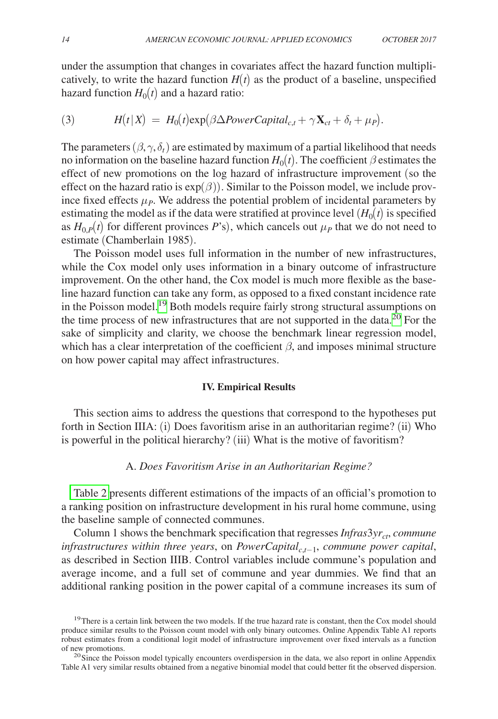under the assumption that changes in covariates affect the hazard function multiplicatively, to write the hazard function  $H(t)$  as the product of a baseline, unspecified hazard function  $H_0(t)$  and a hazard ratio:

(3) 
$$
H(t|X) = H_0(t) \exp(\beta \Delta Power Capital_{c,t} + \gamma \mathbf{X}_{ct} + \delta_t + \mu_P).
$$

The parameters  $(\beta, \gamma, \delta_t)$  are estimated by maximum of a partial likelihood that needs no information on the baseline hazard function  $H_0(t)$ . The coefficient  $\beta$  estimates the effect of new promotions on the log hazard of infrastructure improvement (so the effect on the hazard ratio is  $exp(\beta)$ . Similar to the Poisson model, we include province fixed effects  $\mu_P$ . We address the potential problem of incidental parameters by estimating the model as if the data were stratified at province level  $(H_0(t))$  is specified as  $H_{0,P}(t)$  for different provinces *P*'s), which cancels out  $\mu_P$  that we do not need to estimate (Chamberlain 1985).

The Poisson model uses full information in the number of new infrastructures, while the Cox model only uses information in a binary outcome of infrastructure improvement. On the other hand, the Cox model is much more flexible as the baseline hazard function can take any form, as opposed to a fixed constant incidence rate in the Poisson model.<sup>19</sup> Both models require fairly strong structural assumptions on the time process of new infrastructures that are not supported in the data.<sup>20</sup> For the sake of simplicity and clarity, we choose the benchmark linear regression model, which has a clear interpretation of the coefficient  $\beta$ , and imposes minimal structure on how power capital may affect infrastructures.

#### **IV. Empirical Results**

This section aims to address the questions that correspond to the hypotheses put forth in Section IIIA: (i) Does favoritism arise in an authoritarian regime? (ii) Who is powerful in the political hierarchy? (iii) What is the motive of favoritism?

#### A. *Does Favoritism Arise in an Authoritarian Regime?*

[Table 2](#page-14-0) presents different estimations of the impacts of an official's promotion to a ranking position on infrastructure development in his rural home commune, using the baseline sample of connected communes.

Column 1 shows the benchmark specification that regresses  $Infras3yr_{ct}$ , *commune infrastructures within three years, on PowerCapital<sub>c,t−1</sub>, <i>commune power capital*, as described in Section IIIB. Control variables include commune's population and average income, and a full set of commune and year dummies. We find that an additional ranking position in the power capital of a commune increases its sum of

<span id="page-13-0"></span><sup>&</sup>lt;sup>19</sup>There is a certain link between the two models. If the true hazard rate is constant, then the Cox model should produce similar results to the Poisson count model with only binary outcomes. Online Appendix Table A1 reports robust estimates from a conditional logit model of infrastructure improvement over fixed intervals as a function of new promotions.<br><sup>20</sup>Since the Poisson model typically encounters overdispersion in the data, we also report in online Appendix

<span id="page-13-1"></span>Table A1 very similar results obtained from a negative binomial model that could better fit the observed dispersion.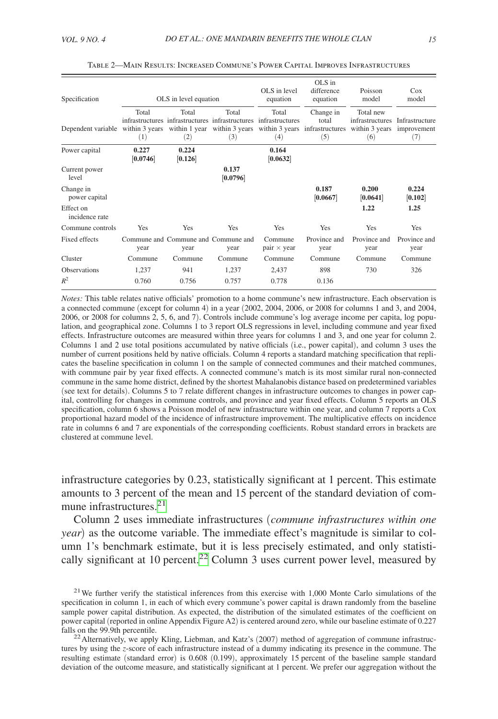<span id="page-14-0"></span>

| Specification                                                                 |                           | OLS in level equation                       |                                                                 | OLS in level<br>equation        | $OLS$ in<br>difference<br>equation           | Poisson<br>model                                      | Cox<br>model                         |
|-------------------------------------------------------------------------------|---------------------------|---------------------------------------------|-----------------------------------------------------------------|---------------------------------|----------------------------------------------|-------------------------------------------------------|--------------------------------------|
| Dependent variable within 3 years within 1 year within 3 years within 3 years | Total<br>$\left(1\right)$ | Total<br>$\left( 2\right)$                  | Total<br>infrastructures infrastructures infrastructures<br>(3) | Total<br>infrastructures<br>(4) | Change in<br>total<br>infrastructures<br>(5) | Total new<br>infrastructures<br>within 3 years<br>(6) | Infrastructure<br>improvement<br>(7) |
| Power capital                                                                 | 0.227<br>[0.0746]         | 0.224<br>[0.126]                            |                                                                 | 0.164<br>[0.0632]               |                                              |                                                       |                                      |
| Current power<br>level                                                        |                           |                                             | 0.137<br>[0.0796]                                               |                                 |                                              |                                                       |                                      |
| Change in<br>power capital                                                    |                           |                                             |                                                                 |                                 | 0.187<br>[0.0667]                            | 0.200<br>[0.0641]                                     | 0.224<br>[0.102]                     |
| Effect on<br>incidence rate                                                   |                           |                                             |                                                                 |                                 |                                              | 1.22                                                  | 1.25                                 |
| Commune controls                                                              | Yes                       | Yes                                         | Yes                                                             | Yes                             | Yes                                          | Yes                                                   | Yes                                  |
| Fixed effects                                                                 | year                      | Commune and Commune and Commune and<br>year | year                                                            | Commune<br>$pair \times year$   | Province and<br>year                         | Province and<br>year                                  | Province and<br>year                 |
| Cluster                                                                       | Commune                   | Commune                                     | Commune                                                         | Commune                         | Commune                                      | Commune                                               | Commune                              |
| <b>Observations</b>                                                           | 1,237                     | 941                                         | 1,237                                                           | 2,437                           | 898                                          | 730                                                   | 326                                  |
| $R^2$                                                                         | 0.760                     | 0.756                                       | 0.757                                                           | 0.778                           | 0.136                                        |                                                       |                                      |

*Notes:* This table relates native officials' promotion to a home commune's new infrastructure. Each observation is a connected commune (except for column 4) in a year (2002, 2004, 2006, or 2008 for columns 1 and 3, and 2004, 2006, or 2008 for columns 2, 5, 6, and 7). Controls include commune's log average income per capita, log population, and geographical zone. Columns 1 to 3 report OLS regressions in level, including commune and year fixed effects. Infrastructure outcomes are measured within three years for columns 1 and 3, and one year for column 2. Columns 1 and 2 use total positions accumulated by native officials (i.e., power capital), and column 3 uses the number of current positions held by native officials. Column 4 reports a standard matching specification that replicates the baseline specification in column 1 on the sample of connected communes and their matched communes, with commune pair by year fixed effects. A connected commune's match is its most similar rural non-connected commune in the same home district, defined by the shortest Mahalanobis distance based on predetermined variables (see text for details). Columns 5 to 7 relate different changes in infrastructure outcomes to changes in power capital, controlling for changes in commune controls, and province and year fixed effects. Column 5 reports an OLS specification, column 6 shows a Poisson model of new infrastructure within one year, and column 7 reports a Cox proportional hazard model of the incidence of infrastructure improvement. The multiplicative effects on incidence rate in columns 6 and 7 are exponentials of the corresponding coefficients. Robust standard errors in brackets are clustered at commune level.

infrastructure categories by 0.23, statistically significant at 1 percent. This estimate amounts to 3 percent of the mean and 15 percent of the standard deviation of commune infrastructures. $21$ 

Column 2 uses immediate infrastructures (*commune infrastructures within one year*) as the outcome variable. The immediate effect's magnitude is similar to column 1's benchmark estimate, but it is less precisely estimated, and only statisti-cally significant at 10 percent.<sup>[22](#page-14-2)</sup> Column 3 uses current power level, measured by

<span id="page-14-1"></span> $21$ We further verify the statistical inferences from this exercise with 1,000 Monte Carlo simulations of the specification in column 1, in each of which every commune's power capital is drawn randomly from the baseline sample power capital distribution. As expected, the distribution of the simulated estimates of the coefficient on power capital (reported in online Appendix Figure A2) is centered around zero, while our baseline estimate of 0.227

<span id="page-14-2"></span><sup>22</sup> Alternatively, we apply Kling, Liebman, and Katz's (2007) method of aggregation of commune infrastructures by using the *z*-score of each infrastructure instead of a dummy indicating its presence in the commune. The resulting estimate (standard error) is 0.608 (0.199), approximately 15 percent of the baseline sample standard deviation of the outcome measure, and statistically significant at 1 percent. We prefer our aggregation without the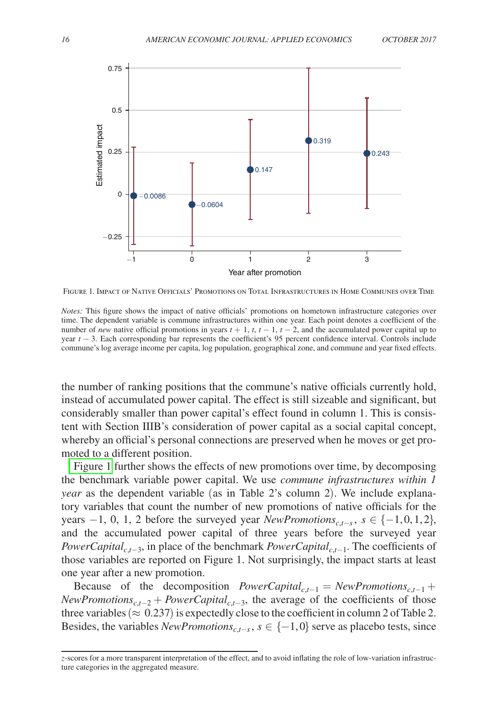

Figure 1. Impact of Native Officials' Promotions on Total Infrastructures in Home Communes over Time

*Notes:* This figure shows the impact of native officials' promotions on hometown infrastructure categories over time. The dependent variable is commune infrastructures within one year. Each point denotes a coefficient of the number of *new* native official promotions in years  $t + 1$ ,  $t$ ,  $t - 1$ ,  $t - 2$ , and the accumulated power capital up to year *t* − 3. Each corresponding bar represents the coefficient's 95 percent confidence interval. Controls include commune's log average income per capita, log population, geographical zone, and commune and year fixed effects.

the number of ranking positions that the commune's native officials currently hold, instead of accumulated power capital. The effect is still sizeable and significant, but considerably smaller than power capital's effect found in column 1. This is consistent with Section IIIB's consideration of power capital as a social capital concept, whereby an official's personal connections are preserved when he moves or get promoted to a different position.

Figure 1 further shows the effects of new promotions over time, by decomposing the benchmark variable power capital. We use *commune infrastructures within 1 year* as the dependent variable (as in Table 2's column 2). We include explanatory variables that count the number of new promotions of native officials for the years  $-1$ , 0, 1, 2 before the surveyed year *NewPromotions*<sub>ct-s</sub>,  $s \in \{-1,0,1,2\}$ , and the accumulated power capital of three years before the surveyed year *PowerCapital<sub>c</sub>*,*t*−3, in place of the benchmark *PowerCapital<sub>c</sub>*, $t$ −1. The coefficients of those variables are reported on Figure 1. Not surprisingly, the impact starts at least one year after a new promotion.

Because of the decomposition *PowerCapital<sub>ct−1</sub>* = *NewPromotions<sub>ct−1</sub>* + *NewPromotions*<sub> $c,t-2$ </sub> + *PowerCapital*<sub> $c,t-3$ </sub>, the average of the coefficients of those three variables ( $\approx 0.237$ ) is expectedly close to the coefficient in column 2 of Table 2. Besides, the variables *NewPromotions*<sub>c $t-s$ </sub>,  $s \in \{-1,0\}$  serve as placebo tests, since

*z*-scores for a more transparent interpretation of the effect, and to avoid inflating the role of low-variation infrastructure categories in the aggregated measure.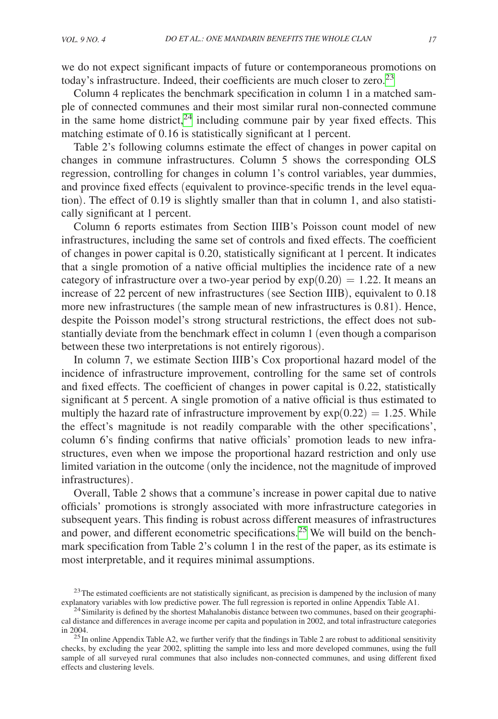we do not expect significant impacts of future or contemporaneous promotions on today's infrastructure. Indeed, their coefficients are much closer to zero.<sup>23</sup>

Column 4 replicates the benchmark specification in column 1 in a matched sample of connected communes and their most similar rural non-connected commune in the same home district,  $24$  including commune pair by year fixed effects. This matching estimate of 0.16 is statistically significant at 1 percent.

Table 2's following columns estimate the effect of changes in power capital on changes in commune infrastructures. Column 5 shows the corresponding OLS regression, controlling for changes in column 1's control variables, year dummies, and province fixed effects (equivalent to province-specific trends in the level equation). The effect of 0.19 is slightly smaller than that in column 1, and also statistically significant at 1 percent.

Column 6 reports estimates from Section IIIB's Poisson count model of new infrastructures, including the same set of controls and fixed effects. The coefficient of changes in power capital is 0.20, statistically significant at 1 percent. It indicates that a single promotion of a native official multiplies the incidence rate of a new category of infrastructure over a two-year period by  $exp(0.20) = 1.22$ . It means an increase of 22 percent of new infrastructures (see Section IIIB), equivalent to 0.18 more new infrastructures (the sample mean of new infrastructures is 0.81). Hence, despite the Poisson model's strong structural restrictions, the effect does not substantially deviate from the benchmark effect in column 1 (even though a comparison between these two interpretations is not entirely rigorous).

In column 7, we estimate Section IIIB's Cox proportional hazard model of the incidence of infrastructure improvement, controlling for the same set of controls and fixed effects. The coefficient of changes in power capital is 0.22, statistically significant at 5 percent. A single promotion of a native official is thus estimated to multiply the hazard rate of infrastructure improvement by  $exp(0.22) = 1.25$ . While the effect's magnitude is not readily comparable with the other specifications', column 6's finding confirms that native officials' promotion leads to new infrastructures, even when we impose the proportional hazard restriction and only use limited variation in the outcome (only the incidence, not the magnitude of improved infrastructures).

Overall, Table 2 shows that a commune's increase in power capital due to native officials' promotions is strongly associated with more infrastructure categories in subsequent years. This finding is robust across different measures of infrastructures and power, and different econometric specifications[.25](#page-16-2) We will build on the benchmark specification from Table 2's column 1 in the rest of the paper, as its estimate is most interpretable, and it requires minimal assumptions.

<span id="page-16-0"></span> $^{23}$  The estimated coefficients are not statistically significant, as precision is dampened by the inclusion of many explanatory variables with low predictive power. The full regression is reported in online Appendix Ta

<span id="page-16-1"></span> $^{24}$  Similarity is defined by the shortest Mahalanobis distance between two communes, based on their geographical distance and differences in average income per capita and population in 2002, and total infrastructure categories

<span id="page-16-2"></span> $2\overline{5}$  In online Appendix Table A2, we further verify that the findings in Table 2 are robust to additional sensitivity checks, by excluding the year 2002, splitting the sample into less and more developed communes, using the full sample of all surveyed rural communes that also includes non-connected communes, and using different fixed effects and clustering levels.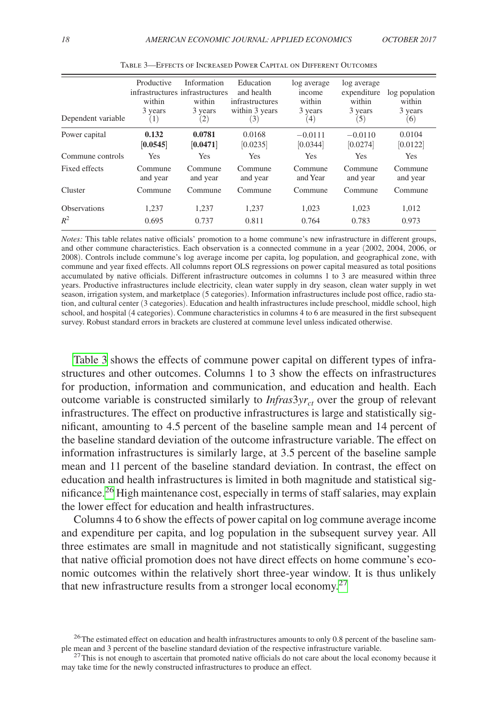| Dependent variable           | Productive<br>infrastructures infrastructures<br>within<br>3 years<br>(1) | Information<br>within<br>3 years<br>$\left( 2\right)$ | Education<br>and health<br>infrastructures<br>within 3 years<br>(3) | log average<br>income<br>within<br>3 years<br>(4) | log average<br>expenditure<br>within<br>3 years<br>(5) | log population<br>within<br>3 years<br>(6) |
|------------------------------|---------------------------------------------------------------------------|-------------------------------------------------------|---------------------------------------------------------------------|---------------------------------------------------|--------------------------------------------------------|--------------------------------------------|
| Power capital                | 0.132<br>[0.0545]                                                         | 0.0781<br>[0.0471]                                    | 0.0168<br>[0.0235]                                                  | $-0.0111$<br>[0.0344]                             | $-0.0110$<br>[0.0274]                                  | 0.0104<br>[0.0122]                         |
| Commune controls             | <b>Yes</b>                                                                | Yes                                                   | <b>Yes</b>                                                          | Yes                                               | Yes                                                    | <b>Yes</b>                                 |
| Fixed effects                | Commune<br>and year                                                       | Commune<br>and year                                   | Commune<br>and year                                                 | Commune<br>and Year                               | Commune<br>and year                                    | Commune<br>and year                        |
| Cluster                      | Commune                                                                   | Commune                                               | Commune                                                             | Commune                                           | Commune                                                | Commune                                    |
| <b>Observations</b><br>$R^2$ | 1,237<br>0.695                                                            | 1.237<br>0.737                                        | 1.237<br>0.811                                                      | 1,023<br>0.764                                    | 1,023<br>0.783                                         | 1,012<br>0.973                             |

Table 3—Effects of Increased Power Capital on Different Outcomes

*Notes:* This table relates native officials' promotion to a home commune's new infrastructure in different groups, and other commune characteristics. Each observation is a connected commune in a year (2002, 2004, 2006, or 2008). Controls include commune's log average income per capita, log population, and geographical zone, with commune and year fixed effects. All columns report OLS regressions on power capital measured as total positions accumulated by native officials. Different infrastructure outcomes in columns 1 to 3 are measured within three years. Productive infrastructures include electricity, clean water supply in dry season, clean water supply in wet season, irrigation system, and marketplace (5 categories). Information infrastructures include post office, radio station, and cultural center (3 categories). Education and health infrastructures include preschool, middle school, high school, and hospital (4 categories). Commune characteristics in columns 4 to 6 are measured in the first subsequent survey. Robust standard errors in brackets are clustered at commune level unless indicated otherwise.

Table 3 shows the effects of commune power capital on different types of infrastructures and other outcomes. Columns 1 to 3 show the effects on infrastructures for production, information and communication, and education and health. Each outcome variable is constructed similarly to *Infras3yr<sub>ct</sub>* over the group of relevant infrastructures. The effect on productive infrastructures is large and statistically significant, amounting to 4.5 percent of the baseline sample mean and 14 percent of the baseline standard deviation of the outcome infrastructure variable. The effect on information infrastructures is similarly large, at 3.5 percent of the baseline sample mean and 11 percent of the baseline standard deviation. In contrast, the effect on education and health infrastructures is limited in both magnitude and statistical significance[.26](#page-17-0) High maintenance cost, especially in terms of staff salaries, may explain the lower effect for education and health infrastructures.

Columns 4 to 6 show the effects of power capital on log commune average income and expenditure per capita, and log population in the subsequent survey year. All three estimates are small in magnitude and not statistically significant, suggesting that native official promotion does not have direct effects on home commune's economic outcomes within the relatively short three-year window. It is thus unlikely that new infrastructure results from a stronger local economy.[27](#page-17-1)

<span id="page-17-0"></span><sup>&</sup>lt;sup>26</sup>The estimated effect on education and health infrastructures amounts to only 0.8 percent of the baseline sam-<br>ple mean and 3 percent of the baseline standard deviation of the respective infrastructure variable.

<span id="page-17-1"></span> $^{27}$ This is not enough to ascertain that promoted native officials do not care about the local economy because it may take time for the newly constructed infrastructures to produce an effect.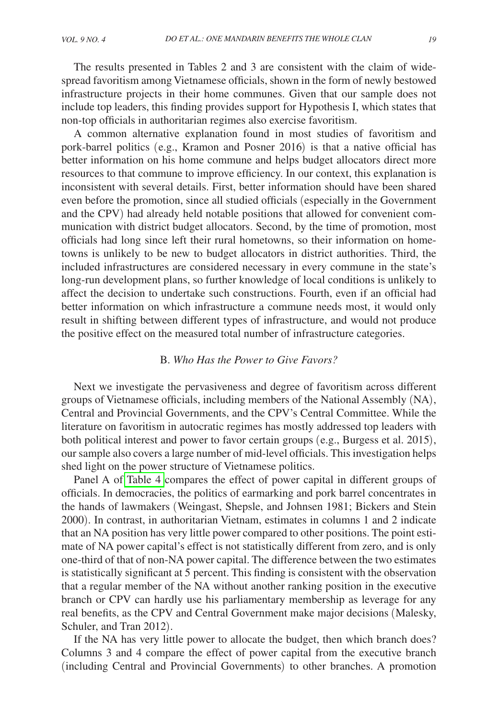The results presented in Tables 2 and 3 are consistent with the claim of widespread favoritism among Vietnamese officials, shown in the form of newly bestowed infrastructure projects in their home communes. Given that our sample does not include top leaders, this finding provides support for Hypothesis I, which states that non-top officials in authoritarian regimes also exercise favoritism.

A common alternative explanation found in most studies of favoritism and pork-barrel politics (e.g., Kramon and Posner 2016) is that a native official has better information on his home commune and helps budget allocators direct more resources to that commune to improve efficiency. In our context, this explanation is inconsistent with several details. First, better information should have been shared even before the promotion, since all studied officials (especially in the Government and the CPV) had already held notable positions that allowed for convenient communication with district budget allocators. Second, by the time of promotion, most officials had long since left their rural hometowns, so their information on hometowns is unlikely to be new to budget allocators in district authorities. Third, the included infrastructures are considered necessary in every commune in the state's long-run development plans, so further knowledge of local conditions is unlikely to affect the decision to undertake such constructions. Fourth, even if an official had better information on which infrastructure a commune needs most, it would only result in shifting between different types of infrastructure, and would not produce the positive effect on the measured total number of infrastructure categories.

# B. *Who Has the Power to Give Favors?*

Next we investigate the pervasiveness and degree of favoritism across different groups of Vietnamese officials, including members of the National Assembly (NA), Central and Provincial Governments, and the CPV's Central Committee. While the literature on favoritism in autocratic regimes has mostly addressed top leaders with both political interest and power to favor certain groups (e.g., Burgess et al. 2015), our sample also covers a large number of mid-level officials. This investigation helps shed light on the power structure of Vietnamese politics.

Panel A of [Table 4](#page-19-0) compares the effect of power capital in different groups of officials. In democracies, the politics of earmarking and pork barrel concentrates in the hands of lawmakers (Weingast, Shepsle, and Johnsen 1981; Bickers and Stein 2000). In contrast, in authoritarian Vietnam, estimates in columns 1 and 2 indicate that an NA position has very little power compared to other positions. The point estimate of NA power capital's effect is not statistically different from zero, and is only one-third of that of non-NA power capital. The difference between the two estimates is statistically significant at 5 percent. This finding is consistent with the observation that a regular member of the NA without another ranking position in the executive branch or CPV can hardly use his parliamentary membership as leverage for any real benefits, as the CPV and Central Government make major decisions (Malesky, Schuler, and Tran 2012).

If the NA has very little power to allocate the budget, then which branch does? Columns 3 and 4 compare the effect of power capital from the executive branch (including Central and Provincial Governments) to other branches. A promotion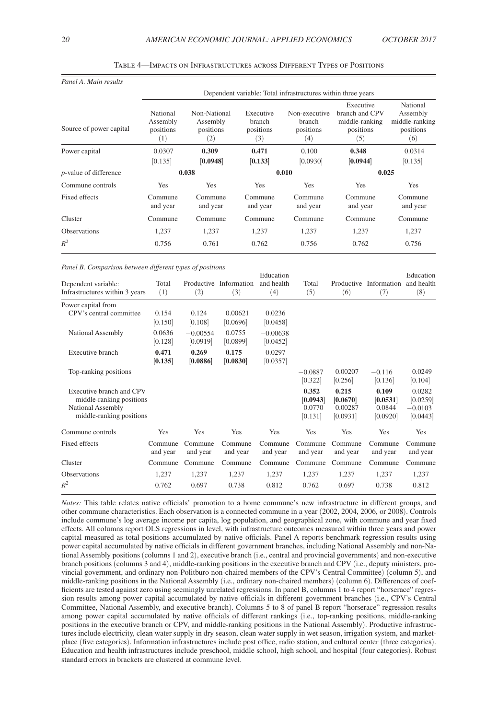<span id="page-19-0"></span>

| Panel A. Main results         |                                                              |                                                            |                                         |                                                           |                                                                   |                                                            |  |  |  |  |
|-------------------------------|--------------------------------------------------------------|------------------------------------------------------------|-----------------------------------------|-----------------------------------------------------------|-------------------------------------------------------------------|------------------------------------------------------------|--|--|--|--|
|                               | Dependent variable: Total infrastructures within three years |                                                            |                                         |                                                           |                                                                   |                                                            |  |  |  |  |
| Source of power capital       | National<br>Assembly<br>positions<br>(1)                     | Non-National<br>Assembly<br>positions<br>$\left( 2\right)$ | Executive<br>branch<br>positions<br>(3) | Non-executive<br>branch<br>positions<br>$\left( 4\right)$ | Executive<br>branch and CPV<br>middle-ranking<br>positions<br>(5) | National<br>Assembly<br>middle-ranking<br>positions<br>(6) |  |  |  |  |
| Power capital                 | 0.0307                                                       | 0.309                                                      | 0.471                                   | 0.100                                                     | 0.348                                                             | 0.0314                                                     |  |  |  |  |
|                               | [0.135]                                                      | [0.0948]                                                   | [0.133]                                 | [0.0930]                                                  | [0.0944]                                                          | [0.135]                                                    |  |  |  |  |
| <i>p</i> -value of difference |                                                              | 0.038                                                      |                                         | 0.010                                                     | 0.025                                                             |                                                            |  |  |  |  |
| Commune controls              | Yes                                                          | <b>Yes</b>                                                 | Yes                                     | Yes                                                       | Yes                                                               | <b>Yes</b>                                                 |  |  |  |  |
| Fixed effects                 | Commune<br>and year                                          | Commune<br>and year                                        | Commune<br>and year                     | Commune<br>and year                                       | Commune<br>and year                                               | Commune<br>and year                                        |  |  |  |  |
| Cluster                       | Commune                                                      | Commune                                                    | Commune                                 | Commune                                                   | Commune                                                           | Commune                                                    |  |  |  |  |
| <b>Observations</b>           | 1,237                                                        | 1,237                                                      | 1,237                                   | 1,237                                                     | 1,237                                                             | 1,237                                                      |  |  |  |  |
| $R^2$                         | 0.756                                                        | 0.761                                                      | 0.762                                   | 0.756                                                     | 0.762                                                             | 0.756                                                      |  |  |  |  |

Table 4—Impacts on Infrastructures across Different Types of Positions

*Panel B. Comparison between different types of positions*

| Dependent variable:<br>Infrastructures within 3 years                                                 | Total<br>(1)        | Productive<br>(2)      | Information<br>(3)  | Education<br>and health<br>(4) | Total<br>(5)                           | (6)                                      | Productive Information<br>(7)           | Education<br>and health<br>(8)              |
|-------------------------------------------------------------------------------------------------------|---------------------|------------------------|---------------------|--------------------------------|----------------------------------------|------------------------------------------|-----------------------------------------|---------------------------------------------|
| Power capital from                                                                                    |                     |                        |                     |                                |                                        |                                          |                                         |                                             |
| CPV's central committee                                                                               | 0.154<br>[0.150]    | 0.124<br>[0.108]       | 0.00621<br>[0.0696] | 0.0236<br>[0.0458]             |                                        |                                          |                                         |                                             |
| National Assembly                                                                                     | 0.0636<br>[0.128]   | $-0.00554$<br>[0.0919] | 0.0755<br>[0.0899]  | $-0.00638$<br>[0.0452]         |                                        |                                          |                                         |                                             |
| Executive branch                                                                                      | 0.471<br>[0.135]    | 0.269<br>[0.0886]      | 0.175<br>[0.0830]   | 0.0297<br>[0.0357]             |                                        |                                          |                                         |                                             |
| Top-ranking positions                                                                                 |                     |                        |                     |                                | $-0.0887$<br>[0.322]                   | 0.00207<br>[0.256]                       | $-0.116$<br>[0.136]                     | 0.0249<br>[0.104]                           |
| Executive branch and CPV<br>middle-ranking positions<br>National Assembly<br>middle-ranking positions |                     |                        |                     |                                | 0.352<br>[0.0943]<br>0.0770<br>[0.131] | 0.215<br>[0.0670]<br>0.00287<br>[0.0931] | 0.109<br>[0.0531]<br>0.0844<br>[0.0920] | 0.0282<br>[0.0259]<br>$-0.0103$<br>[0.0443] |
| Commune controls                                                                                      | Yes                 | Yes                    | Yes                 | Yes                            | Yes                                    | Yes                                      | Yes                                     | Yes                                         |
| Fixed effects                                                                                         | Commune<br>and year | Commune<br>and year    | Commune<br>and year | Commune<br>and year            | Commune<br>and year                    | Commune<br>and year                      | Commune<br>and year                     | Commune<br>and year                         |
| Cluster                                                                                               | Commune             | Commune                | Commune             | Commune                        | Commune                                | Commune                                  | Commune                                 | Commune                                     |
| <b>Observations</b>                                                                                   | 1,237               | 1,237                  | 1,237               | 1,237                          | 1,237                                  | 1,237                                    | 1,237                                   | 1,237                                       |
| $R^2$                                                                                                 | 0.762               | 0.697                  | 0.738               | 0.812                          | 0.762                                  | 0.697                                    | 0.738                                   | 0.812                                       |

*Notes:* This table relates native officials' promotion to a home commune's new infrastructure in different groups, and other commune characteristics. Each observation is a connected commune in a year (2002, 2004, 2006, or 2008). Controls include commune's log average income per capita, log population, and geographical zone, with commune and year fixed effects. All columns report OLS regressions in level, with infrastructure outcomes measured within three years and power capital measured as total positions accumulated by native officials. Panel A reports benchmark regression results using power capital accumulated by native officials in different government branches, including National Assembly and non-National Assembly positions (columns 1 and 2), executive branch (i.e., central and provincial governments) and non-executive branch positions (columns 3 and 4), middle-ranking positions in the executive branch and CPV (i.e., deputy ministers, provincial government, and ordinary non-Politburo non-chaired members of the CPV's Central Committee) (column 5), and middle-ranking positions in the National Assembly (i.e., ordinary non-chaired members) (column 6). Differences of coefficients are tested against zero using seemingly unrelated regressions. In panel B, columns 1 to 4 report "horserace" regression results among power capital accumulated by native officials in different government branches (i.e., CPV's Central Committee, National Assembly, and executive branch). Columns 5 to 8 of panel B report "horserace" regression results among power capital accumulated by native officials of different rankings (i.e., top-ranking positions, middle-ranking positions in the executive branch or CPV, and middle-ranking positions in the National Assembly). Productive infrastructures include electricity, clean water supply in dry season, clean water supply in wet season, irrigation system, and marketplace (five categories). Information infrastructures include post office, radio station, and cultural center (three categories). Education and health infrastructures include preschool, middle school, high school, and hospital (four categories). Robust standard errors in brackets are clustered at commune level.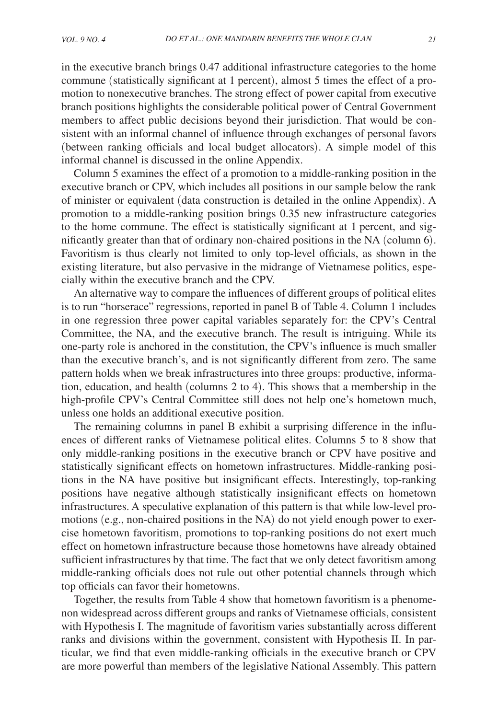in the executive branch brings 0.47 additional infrastructure categories to the home commune (statistically significant at 1 percent), almost 5 times the effect of a promotion to nonexecutive branches. The strong effect of power capital from executive branch positions highlights the considerable political power of Central Government members to affect public decisions beyond their jurisdiction. That would be consistent with an informal channel of influence through exchanges of personal favors (between ranking officials and local budget allocators). A simple model of this informal channel is discussed in the online Appendix.

Column 5 examines the effect of a promotion to a middle-ranking position in the executive branch or CPV, which includes all positions in our sample below the rank of minister or equivalent (data construction is detailed in the online Appendix). A promotion to a middle-ranking position brings 0.35 new infrastructure categories to the home commune. The effect is statistically significant at 1 percent, and significantly greater than that of ordinary non-chaired positions in the NA (column 6). Favoritism is thus clearly not limited to only top-level officials, as shown in the existing literature, but also pervasive in the midrange of Vietnamese politics, especially within the executive branch and the CPV.

An alternative way to compare the influences of different groups of political elites is to run "horserace" regressions, reported in panel B of Table 4. Column 1 includes in one regression three power capital variables separately for: the CPV's Central Committee, the NA, and the executive branch. The result is intriguing. While its one-party role is anchored in the constitution, the CPV's influence is much smaller than the executive branch's, and is not significantly different from zero. The same pattern holds when we break infrastructures into three groups: productive, information, education, and health (columns 2 to 4). This shows that a membership in the high-profile CPV's Central Committee still does not help one's hometown much, unless one holds an additional executive position.

The remaining columns in panel B exhibit a surprising difference in the influences of different ranks of Vietnamese political elites. Columns 5 to 8 show that only middle-ranking positions in the executive branch or CPV have positive and statistically significant effects on hometown infrastructures. Middle-ranking positions in the NA have positive but insignificant effects. Interestingly, top-ranking positions have negative although statistically insignificant effects on hometown infrastructures. A speculative explanation of this pattern is that while low-level promotions (e.g., non-chaired positions in the NA) do not yield enough power to exercise hometown favoritism, promotions to top-ranking positions do not exert much effect on hometown infrastructure because those hometowns have already obtained sufficient infrastructures by that time. The fact that we only detect favoritism among middle-ranking officials does not rule out other potential channels through which top officials can favor their hometowns.

Together, the results from Table 4 show that hometown favoritism is a phenomenon widespread across different groups and ranks of Vietnamese officials, consistent with Hypothesis I. The magnitude of favoritism varies substantially across different ranks and divisions within the government, consistent with Hypothesis II. In particular, we find that even middle-ranking officials in the executive branch or CPV are more powerful than members of the legislative National Assembly. This pattern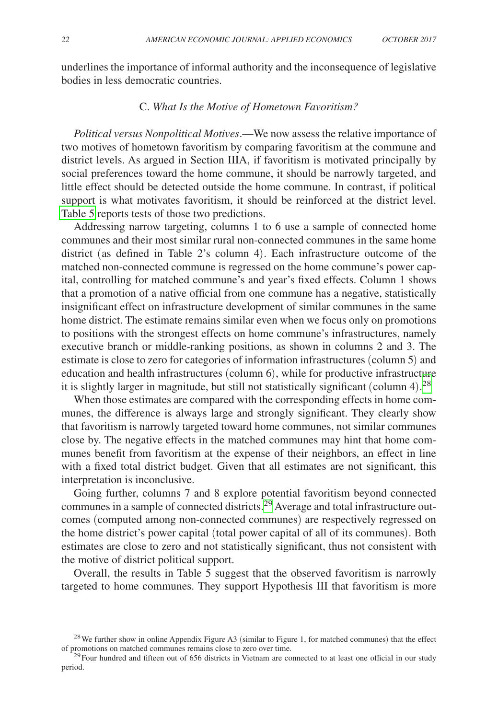underlines the importance of informal authority and the inconsequence of legislative bodies in less democratic countries.

#### C. *What Is the Motive of Hometown Favoritism?*

*Political versus Nonpolitical Motives*.—We now assess the relative importance of two motives of hometown favoritism by comparing favoritism at the commune and district levels. As argued in Section IIIA, if favoritism is motivated principally by social preferences toward the home commune, it should be narrowly targeted, and little effect should be detected outside the home commune. In contrast, if political support is what motivates favoritism, it should be reinforced at the district level. [Table 5](#page-22-0) reports tests of those two predictions.

Addressing narrow targeting, columns 1 to 6 use a sample of connected home communes and their most similar rural non-connected communes in the same home district (as defined in Table 2's column 4). Each infrastructure outcome of the matched non-connected commune is regressed on the home commune's power capital, controlling for matched commune's and year's fixed effects. Column 1 shows that a promotion of a native official from one commune has a negative, statistically insignificant effect on infrastructure development of similar communes in the same home district. The estimate remains similar even when we focus only on promotions to positions with the strongest effects on home commune's infrastructures, namely executive branch or middle-ranking positions, as shown in columns 2 and 3. The estimate is close to zero for categories of information infrastructures (column 5) and education and health infrastructures (column 6), while for productive infrastructure it is slightly larger in magnitude, but still not statistically significant (column 4). [28](#page-21-0)

When those estimates are compared with the corresponding effects in home communes, the difference is always large and strongly significant. They clearly show that favoritism is narrowly targeted toward home communes, not similar communes close by. The negative effects in the matched communes may hint that home communes benefit from favoritism at the expense of their neighbors, an effect in line with a fixed total district budget. Given that all estimates are not significant, this interpretation is inconclusive.

Going further, columns 7 and 8 explore potential favoritism beyond connected communes in a sample of connected districts.<sup>[29](#page-21-1)</sup> Average and total infrastructure outcomes (computed among non-connected communes) are respectively regressed on the home district's power capital (total power capital of all of its communes). Both estimates are close to zero and not statistically significant, thus not consistent with the motive of district political support.

Overall, the results in Table 5 suggest that the observed favoritism is narrowly targeted to home communes. They support Hypothesis III that favoritism is more

<span id="page-21-0"></span><sup>&</sup>lt;sup>28</sup>We further show in online Appendix Figure A3 (similar to Figure 1, for matched communes) that the effect of promotions on matched communes remains close to zero over time.

<span id="page-21-1"></span><sup>&</sup>lt;sup>29</sup>Four hundred and fifteen out of 656 districts in Vietnam are connected to at least one official in our study period.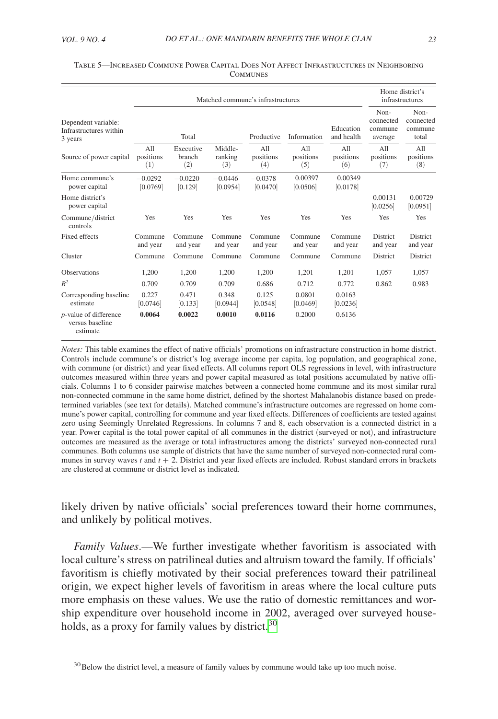|                                                              |                              | Matched commune's infrastructures | Home district's<br>infrastructures |                         |                         |                         |                                         |                                       |
|--------------------------------------------------------------|------------------------------|-----------------------------------|------------------------------------|-------------------------|-------------------------|-------------------------|-----------------------------------------|---------------------------------------|
| Dependent variable:<br>Infrastructures within<br>3 years     |                              | Total                             |                                    | Productive              | Information             | Education<br>and health | Non-<br>connected<br>commune<br>average | Non-<br>connected<br>commune<br>total |
| Source of power capital                                      | A11<br>positions<br>$^{(1)}$ | Executive<br>branch<br>(2)        | Middle-<br>ranking<br>(3)          | A11<br>positions<br>(4) | A11<br>positions<br>(5) | A11<br>positions<br>(6) | A11<br>positions<br>(7)                 | A11<br>positions<br>(8)               |
| Home commune's<br>power capital                              | $-0.0292$<br>[0.0769]        | $-0.0220$<br>[0.129]              | $-0.0446$<br>[0.0954]              | $-0.0378$<br>[0.0470]   | 0.00397<br>[0.0506]     | 0.00349<br>[0.0178]     |                                         |                                       |
| Home district's<br>power capital                             |                              |                                   |                                    |                         |                         |                         | 0.00131<br>[0.0256]                     | 0.00729<br>[0.0951]                   |
| Commune/district<br>controls                                 | Yes                          | Yes                               | Yes                                | Yes                     | Yes                     | Yes                     | Yes                                     | Yes                                   |
| <b>Fixed effects</b>                                         | Commune<br>and year          | Commune<br>and year               | Commune<br>and year                | Commune<br>and year     | Commune<br>and year     | Commune<br>and year     | <b>District</b><br>and year             | <b>District</b><br>and year           |
| Cluster                                                      | Commune                      | Commune                           | Commune                            | Commune                 | Commune                 | Commune                 | <b>District</b>                         | <b>District</b>                       |
| Observations                                                 | 1,200                        | 1,200                             | 1,200                              | 1,200                   | 1,201                   | 1,201                   | 1,057                                   | 1,057                                 |
| $R^2$                                                        | 0.709                        | 0.709                             | 0.709                              | 0.686                   | 0.712                   | 0.772                   | 0.862                                   | 0.983                                 |
| Corresponding baseline<br>estimate                           | 0.227<br>[0.0746]            | 0.471<br>[0.133]                  | 0.348<br>[0.0944]                  | 0.125<br>[0.0548]       | 0.0801<br>[0.0469]      | 0.0163<br>[0.0236]      |                                         |                                       |
| <i>p</i> -value of difference<br>versus baseline<br>estimate | 0.0064                       | 0.0022                            | 0.0010                             | 0.0116                  | 0.2000                  | 0.6136                  |                                         |                                       |

#### <span id="page-22-0"></span>Table 5—Increased Commune Power Capital Does Not Affect Infrastructures in Neighboring **COMMUNES**

*Notes:* This table examines the effect of native officials' promotions on infrastructure construction in home district. Controls include commune's or district's log average income per capita, log population, and geographical zone, with commune (or district) and year fixed effects. All columns report OLS regressions in level, with infrastructure outcomes measured within three years and power capital measured as total positions accumulated by native officials. Columns 1 to 6 consider pairwise matches between a connected home commune and its most similar rural non-connected commune in the same home district, defined by the shortest Mahalanobis distance based on predetermined variables (see text for details). Matched commune's infrastructure outcomes are regressed on home commune's power capital, controlling for commune and year fixed effects. Differences of coefficients are tested against zero using Seemingly Unrelated Regressions. In columns 7 and 8, each observation is a connected district in a year. Power capital is the total power capital of all communes in the district (surveyed or not), and infrastructure outcomes are measured as the average or total infrastructures among the districts' surveyed non-connected rural communes. Both columns use sample of districts that have the same number of surveyed non-connected rural communes in survey waves *t* and *t* + 2. District and year fixed effects are included. Robust standard errors in brackets are clustered at commune or district level as indicated.

likely driven by native officials' social preferences toward their home communes, and unlikely by political motives.

*Family Values*.—We further investigate whether favoritism is associated with local culture's stress on patrilineal duties and altruism toward the family. If officials' favoritism is chiefly motivated by their social preferences toward their patrilineal origin, we expect higher levels of favoritism in areas where the local culture puts more emphasis on these values. We use the ratio of domestic remittances and worship expenditure over household income in 2002, averaged over surveyed house-holds, as a proxy for family values by district.<sup>[30](#page-22-1)</sup>

<span id="page-22-1"></span> $30$  Below the district level, a measure of family values by commune would take up too much noise.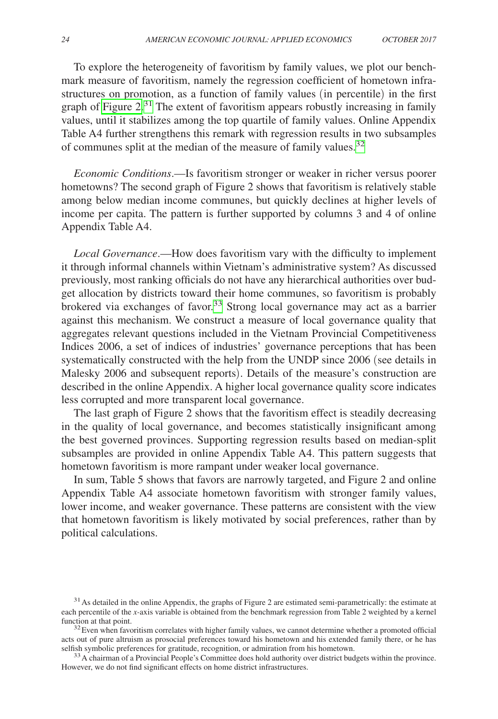To explore the heterogeneity of favoritism by family values, we plot our benchmark measure of favoritism, namely the regression coefficient of hometown infrastructures on promotion, as a function of family values (in percentile) in the first graph of [Figure 2.](#page-24-0) [31](#page-23-0) The extent of favoritism appears robustly increasing in family values, until it stabilizes among the top quartile of family values. Online Appendix Table A4 further strengthens this remark with regression results in two subsamples of communes split at the median of the measure of family values.<sup>[32](#page-23-1)</sup>

*Economic Conditions*.—Is favoritism stronger or weaker in richer versus poorer hometowns? The second graph of Figure 2 shows that favoritism is relatively stable among below median income communes, but quickly declines at higher levels of income per capita. The pattern is further supported by columns 3 and 4 of online Appendix Table A4.

*Local Governance*.—How does favoritism vary with the difficulty to implement it through informal channels within Vietnam's administrative system? As discussed previously, most ranking officials do not have any hierarchical authorities over budget allocation by districts toward their home communes, so favoritism is probably brokered via exchanges of favor.<sup>33</sup> Strong local governance may act as a barrier against this mechanism. We construct a measure of local governance quality that aggregates relevant questions included in the Vietnam Provincial Competitiveness Indices 2006, a set of indices of industries' governance perceptions that has been systematically constructed with the help from the UNDP since 2006 (see details in Malesky 2006 and subsequent reports). Details of the measure's construction are described in the online Appendix. A higher local governance quality score indicates less corrupted and more transparent local governance.

The last graph of Figure 2 shows that the favoritism effect is steadily decreasing in the quality of local governance, and becomes statistically insignificant among the best governed provinces. Supporting regression results based on median-split subsamples are provided in online Appendix Table A4. This pattern suggests that hometown favoritism is more rampant under weaker local governance.

In sum, Table 5 shows that favors are narrowly targeted, and Figure 2 and online Appendix Table A4 associate hometown favoritism with stronger family values, lower income, and weaker governance. These patterns are consistent with the view that hometown favoritism is likely motivated by social preferences, rather than by political calculations.

<span id="page-23-0"></span> $31$ As detailed in the online Appendix, the graphs of Figure 2 are estimated semi-parametrically: the estimate at each percentile of the *x-*axis variable is obtained from the benchmark regression from Table 2 weighted by a kernel function at that point.<br><sup>32</sup>Even when favoritism correlates with higher family values, we cannot determine whether a promoted official

<span id="page-23-1"></span>acts out of pure altruism as prosocial preferences toward his hometown and his extended family there, or he has selfish symbolic preferences for gratitude, recognition, or admiration from his hometown.

<span id="page-23-2"></span> $33$  A chairman of a Provincial People's Committee does hold authority over district budgets within the province. However, we do not find significant effects on home district infrastructures.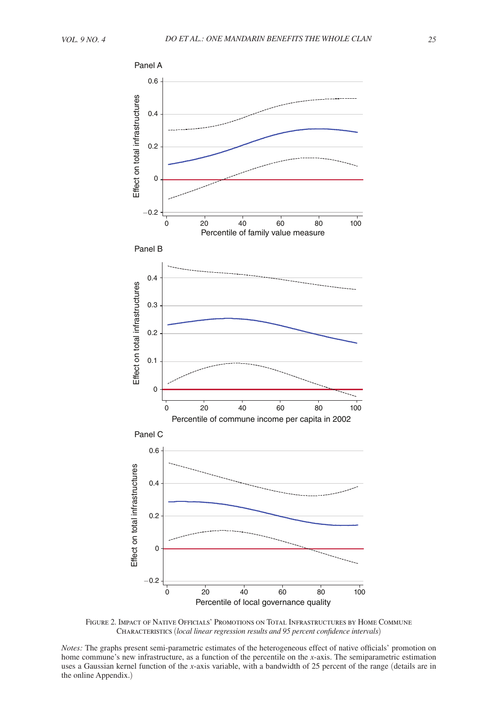<span id="page-24-0"></span>

Figure 2. Impact of Native Officials' Promotions on Total Infrastructures by Home Commune Characteristics (*local linear regression results and 95 percent confidence intervals*)

*Notes:* The graphs present semi-parametric estimates of the heterogeneous effect of native officials' promotion on home commune's new infrastructure, as a function of the percentile on the *x*-axis. The semiparametric estimation uses a Gaussian kernel function of the *x*-axis variable, with a bandwidth of 25 percent of the range (details are in the online Appendix.)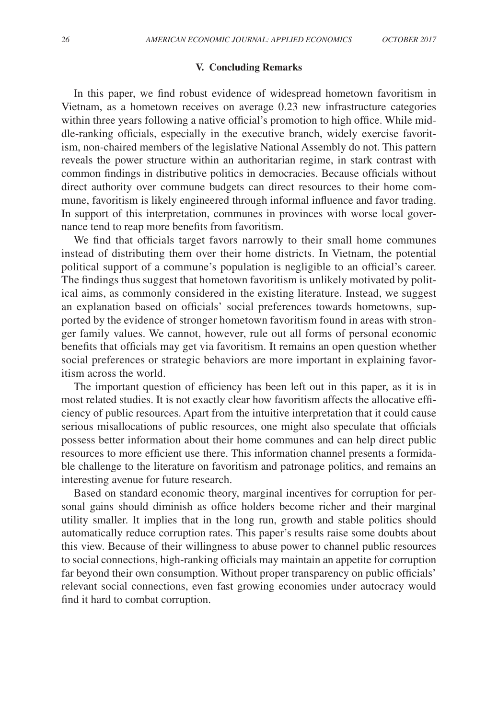# **V. Concluding Remarks**

In this paper, we find robust evidence of widespread hometown favoritism in Vietnam, as a hometown receives on average 0.23 new infrastructure categories within three years following a native official's promotion to high office. While middle-ranking officials, especially in the executive branch, widely exercise favoritism, non-chaired members of the legislative National Assembly do not. This pattern reveals the power structure within an authoritarian regime, in stark contrast with common findings in distributive politics in democracies. Because officials without direct authority over commune budgets can direct resources to their home commune, favoritism is likely engineered through informal influence and favor trading. In support of this interpretation, communes in provinces with worse local governance tend to reap more benefits from favoritism.

We find that officials target favors narrowly to their small home communes instead of distributing them over their home districts. In Vietnam, the potential political support of a commune's population is negligible to an official's career. The findings thus suggest that hometown favoritism is unlikely motivated by political aims, as commonly considered in the existing literature. Instead, we suggest an explanation based on officials' social preferences towards hometowns, supported by the evidence of stronger hometown favoritism found in areas with stronger family values. We cannot, however, rule out all forms of personal economic benefits that officials may get via favoritism. It remains an open question whether social preferences or strategic behaviors are more important in explaining favoritism across the world.

The important question of efficiency has been left out in this paper, as it is in most related studies. It is not exactly clear how favoritism affects the allocative efficiency of public resources. Apart from the intuitive interpretation that it could cause serious misallocations of public resources, one might also speculate that officials possess better information about their home communes and can help direct public resources to more efficient use there. This information channel presents a formidable challenge to the literature on favoritism and patronage politics, and remains an interesting avenue for future research.

Based on standard economic theory, marginal incentives for corruption for personal gains should diminish as office holders become richer and their marginal utility smaller. It implies that in the long run, growth and stable politics should automatically reduce corruption rates. This paper's results raise some doubts about this view. Because of their willingness to abuse power to channel public resources to social connections, high-ranking officials may maintain an appetite for corruption far beyond their own consumption. Without proper transparency on public officials' relevant social connections, even fast growing economies under autocracy would find it hard to combat corruption.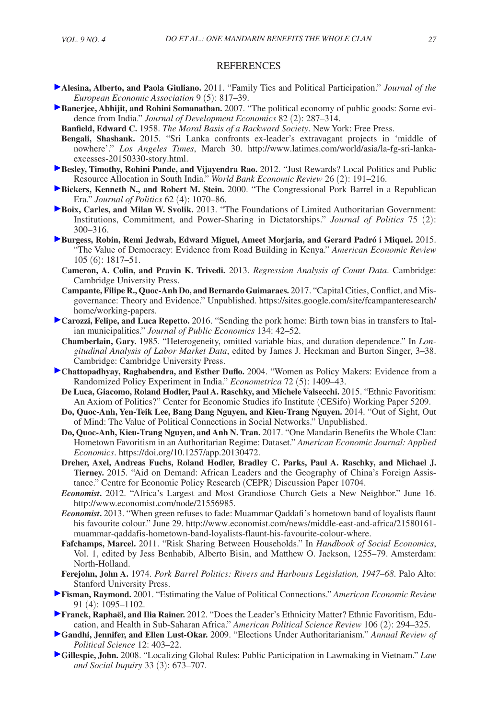#### **REFERENCES**

- **Alesina, Alberto, and Paola Giuliano.** 2011. "Family Ties and Political Participation." *Journal of the European Economic Association* 9 (5): 817–39.
- **Banerjee, Abhijit, and Rohini Somanathan.** 2007. "The political economy of public goods: Some evidence from India." *Journal of Development Economics* 82 (2): 287–314.
	- **Banfield, Edward C.** 1958. *The Moral Basis of a Backward Society*. New York: Free Press.
- **Bengali, Shashank.** 2015. "Sri Lanka confronts ex-leader's extravagant projects in 'middle of nowhere'." *Los Angeles Times*, March 30. [http://www.latimes.com/world/asia/la-fg-sri-lanka](http://www.latimes.com/world/asia/la-fg-sri-lanka-excesses-20150330-story.html)[excesses-20150330-story.html.](http://www.latimes.com/world/asia/la-fg-sri-lanka-excesses-20150330-story.html)
- **Besley, Timothy, Rohini Pande, and Vijayendra Rao.** 2012. "Just Rewards? Local Politics and Public Resource Allocation in South India." *World Bank Economic Review* 26 (2): 191–216.
- **Bickers, Kenneth N., and Robert M. Stein.** 2000. "The Congressional Pork Barrel in a Republican Era." *Journal of Politics* 62 (4): 1070–86.
- **Boix, Carles, and Milan W. Svolik.** 2013. "The Foundations of Limited Authoritarian Government: Institutions, Commitment, and Power-Sharing in Dictatorships." *Journal of Politics* 75 (2): 300–316.
- **Burgess, Robin, Remi Jedwab, Edward Miguel, Ameet Morjaria, and Gerard Padró i Miquel.** 2015. "The Value of Democracy: Evidence from Road Building in Kenya." *American Economic Review* 105 (6): 1817–51.
	- **Cameron, A. Colin, and Pravin K. Trivedi.** 2013. *Regression Analysis of Count Data*. Cambridge: Cambridge University Press.
	- **Campante, Filipe R., Quoc-Anh Do, and Bernardo Guimaraes.** 2017. "Capital Cities, Conflict, and Misgovernance: Theory and Evidence." Unpublished. [https://sites.google.com/site/fcampanteresearch/](https://sites.google.com/site/fcampanteresearch/home/working-papers) [home/working-papers](https://sites.google.com/site/fcampanteresearch/home/working-papers).
- **Carozzi, Felipe, and Luca Repetto.** 2016. "Sending the pork home: Birth town bias in transfers to Italian municipalities." *Journal of Public Economics* 134: 42–52.
	- **Chamberlain, Gary.** 1985. "Heterogeneity, omitted variable bias, and duration dependence." In *Longitudinal Analysis of Labor Market Data*, edited by James J. Heckman and Burton Singer, 3–38. Cambridge: Cambridge University Press.
- **Chattopadhyay, Raghabendra, and Esther Duflo.** 2004. "Women as Policy Makers: Evidence from a Randomized Policy Experiment in India." *Econometrica* 72 (5): 1409–43.
	- **De Luca, Giacomo, Roland Hodler, Paul A. Raschky, and Michele Valsecchi.** 2015. "Ethnic Favoritism: An Axiom of Politics?" Center for Economic Studies ifo Institute (CESifo) Working Paper 5209.
	- **Do, Quoc-Anh, Yen-Teik Lee, Bang Dang Nguyen, and Kieu-Trang Nguyen.** 2014. "Out of Sight, Out of Mind: The Value of Political Connections in Social Networks." Unpublished.
	- **Do, Quoc-Anh, Kieu-Trang Nguyen, and Anh N. Tran.** 2017. "One Mandarin Benefits the Whole Clan: Hometown Favoritism in an Authoritarian Regime: Dataset." *American Economic Journal: Applied Economics*. https://doi.org/10.1257/app.20130472.
	- **Dreher, Axel, Andreas Fuchs, Roland Hodler, Bradley C. Parks, Paul A. Raschky, and Michael J. Tierney.** 2015. "Aid on Demand: African Leaders and the Geography of China's Foreign Assistance." Centre for Economic Policy Research (CEPR) Discussion Paper 10704.
	- *Economist***.** 2012. "Africa's Largest and Most Grandiose Church Gets a New Neighbor." June 16. [http://www.economist.com/node/21556985.](http://www.economist.com/node/21556985)
	- *Economist***.** 2013. "When green refuses to fade: Muammar Qaddafi's hometown band of loyalists flaunt his favourite colour." June 29. [http://www.economist.com/news/middle-east-and-africa/21580161](http://www.economist.com/news/middle-east-and-africa/21580161- muammar-qaddafis-hometown-band-loyalists-flaunt-his-favourite-colour-where) [muammar-qaddafis-hometown-band-loyalists-flaunt-his-favourite-colour-where.](http://www.economist.com/news/middle-east-and-africa/21580161- muammar-qaddafis-hometown-band-loyalists-flaunt-his-favourite-colour-where)
	- **Fafchamps, Marcel.** 2011. "Risk Sharing Between Households." In *Handbook of Social Economics*, Vol. 1, edited by Jess Benhabib, Alberto Bisin, and Matthew O. Jackson, 1255–79. Amsterdam: North-Holland.
	- **Ferejohn, John A.** 1974. *Pork Barrel Politics: Rivers and Harbours Legislation, 1947–68*. Palo Alto: Stanford University Press.
- **Fisman, Raymond.** 2001. "Estimating the Value of Political Connections." *American Economic Review* 91 (4): 1095–1102.
- **Franck, Raphaël, and Ilia Rainer.** 2012. "Does the Leader's Ethnicity Matter? Ethnic Favoritism, Education, and Health in Sub-Saharan Africa." *American Political Science Review* 106 (2): 294–325.
- **Gandhi, Jennifer, and Ellen Lust-Okar.** 2009. "Elections Under Authoritarianism." *Annual Review of Political Science* 12: 403–22.
- **Gillespie, John.** 2008. "Localizing Global Rules: Public Participation in Lawmaking in Vietnam." *Law and Social Inquiry* 33 (3): 673–707.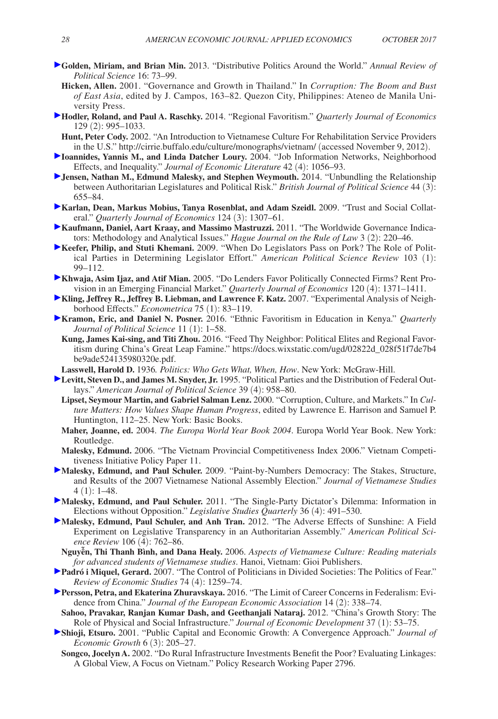- **Golden, Miriam, and Brian Min.** 2013. "Distributive Politics Around the World." *Annual Review of Political Science* 16: 73–99.
- **Hicken, Allen.** 2001. "Governance and Growth in Thailand." In *Corruption: The Boom and Bust of East Asia*, edited by J. Campos, 163–82. Quezon City, Philippines: Ateneo de Manila University Press.
- **Hodler, Roland, and Paul A. Raschky.** 2014. "Regional Favoritism." *Quarterly Journal of Economics* 129 (2): 995–1033.
- **Hunt, Peter Cody.** 2002. "An Introduction to Vietnamese Culture For Rehabilitation Service Providers in the U.S."<http://cirrie.buffalo.edu/culture/monographs/vietnam/> (accessed November 9, 2012).
- **Ioannides, Yannis M., and Linda Datcher Loury.** 2004. "Job Information Networks, Neighborhood Effects, and Inequality." *Journal of Economic Literature* 42 (4): 1056–93.
- **Jensen, Nathan M., Edmund Malesky, and Stephen Weymouth.** 2014. "Unbundling the Relationship between Authoritarian Legislatures and Political Risk." *British Journal of Political Science* 44 (3): 655–84.
- **Karlan, Dean, Markus Mobius, Tanya Rosenblat, and Adam Szeidl.** 2009. "Trust and Social Collateral." *Quarterly Journal of Economics* 124 (3): 1307–61.
- **Kaufmann, Daniel, Aart Kraay, and Massimo Mastruzzi.** 2011. "The Worldwide Governance Indicators: Methodology and Analytical Issues." *Hague Journal on the Rule of Law* 3 (2): 220–46.
- **Keefer, Philip, and Stuti Khemani.** 2009. "When Do Legislators Pass on Pork? The Role of Political Parties in Determining Legislator Effort." *American Political Science Review* 103 (1): 99–112.
- **Khwaja, Asim Ijaz, and Atif Mian.** 2005. "Do Lenders Favor Politically Connected Firms? Rent Provision in an Emerging Financial Market." *Quarterly Journal of Economics* 120 (4): 1371–1411.
- **Kling, Jeffrey R., Jeffrey B. Liebman, and Lawrence F. Katz.** 2007. "Experimental Analysis of Neighborhood Effects." *Econometrica* 75 (1): 83–119.
- **Kramon, Eric, and Daniel N. Posner.** 2016. "Ethnic Favoritism in Education in Kenya." *Quarterly Journal of Political Science* 11 (1): 1–58.
- **Kung, James Kai-sing, and Titi Zhou.** 2016. "Feed Thy Neighbor: Political Elites and Regional Favoritism during China's Great Leap Famine." [https://docs.wixstatic.com/ugd/02822d\\_028f51f7de7b4](https://docs.wixstatic.com/ugd/02822d_028f51f7de7b4be9ade524135980320e.pdf) [be9ade524135980320e.pdf.](https://docs.wixstatic.com/ugd/02822d_028f51f7de7b4be9ade524135980320e.pdf)
- **Lasswell, Harold D.** 1936*. Politics: Who Gets What, When, How*. New York: McGraw-Hill.
- **Levitt, Steven D., and James M. Snyder, Jr.** 1995. "Political Parties and the Distribution of Federal Outlays." *American Journal of Political Science* 39 (4): 958–80.
	- **Lipset, Seymour Martin, and Gabriel Salman Lenz.** 2000. "Corruption, Culture, and Markets." In *Culture Matters: How Values Shape Human Progress*, edited by Lawrence E. Harrison and Samuel P. Huntington, 112–25. New York: Basic Books.
	- **Maher, Joanne, ed.** 2004. *The Europa World Year Book 2004*. Europa World Year Book. New York: Routledge.
	- **Malesky, Edmund.** 2006. "The Vietnam Provincial Competitiveness Index 2006." Vietnam Competitiveness Initiative Policy Paper 11.
- **Malesky, Edmund, and Paul Schuler.** 2009. "Paint-by-Numbers Democracy: The Stakes, Structure, and Results of the 2007 Vietnamese National Assembly Election." *Journal of Vietnamese Studies*  $4(1): 1-48.$
- **Malesky, Edmund, and Paul Schuler.** 2011. "The Single-Party Dictator's Dilemma: Information in Elections without Opposition." *Legislative Studies Quarterly* 36 (4): 491–530.
- **Malesky, Edmund, Paul Schuler, and Anh Tran.** 2012. "The Adverse Effects of Sunshine: A Field Experiment on Legislative Transparency in an Authoritarian Assembly." *American Political Science Review* 106 (4): 762–86.
- **Nguy˜ ên, Thi Thanh Bình, and Dana Healy.** 2006. *Aspects of Vietnamese Culture: Reading materials for advanced students of Vietnamese studies*. Hanoi, Vietnam: Gioi Publishers.
- **Padró i Miquel, Gerard.** 2007. "The Control of Politicians in Divided Societies: The Politics of Fear." *Review of Economic Studies* 74 (4): 1259–74.
- **Persson, Petra, and Ekaterina Zhuravskaya.** 2016. "The Limit of Career Concerns in Federalism: Evidence from China." *Journal of the European Economic Association* 14 (2): 338–74.
- **Sahoo, Pravakar, Ranjan Kumar Dash, and Geethanjali Nataraj.** 2012. "China's Growth Story: The Role of Physical and Social Infrastructure." *Journal of Economic Development* 37 (1): 53–75.
- **Shioji, Etsuro.** 2001. "Public Capital and Economic Growth: A Convergence Approach." *Journal of Economic Growth* 6 (3): 205–27.
	- **Songco, Jocelyn A.** 2002. "Do Rural Infrastructure Investments Benefit the Poor? Evaluating Linkages: A Global View, A Focus on Vietnam." Policy Research Working Paper 2796.